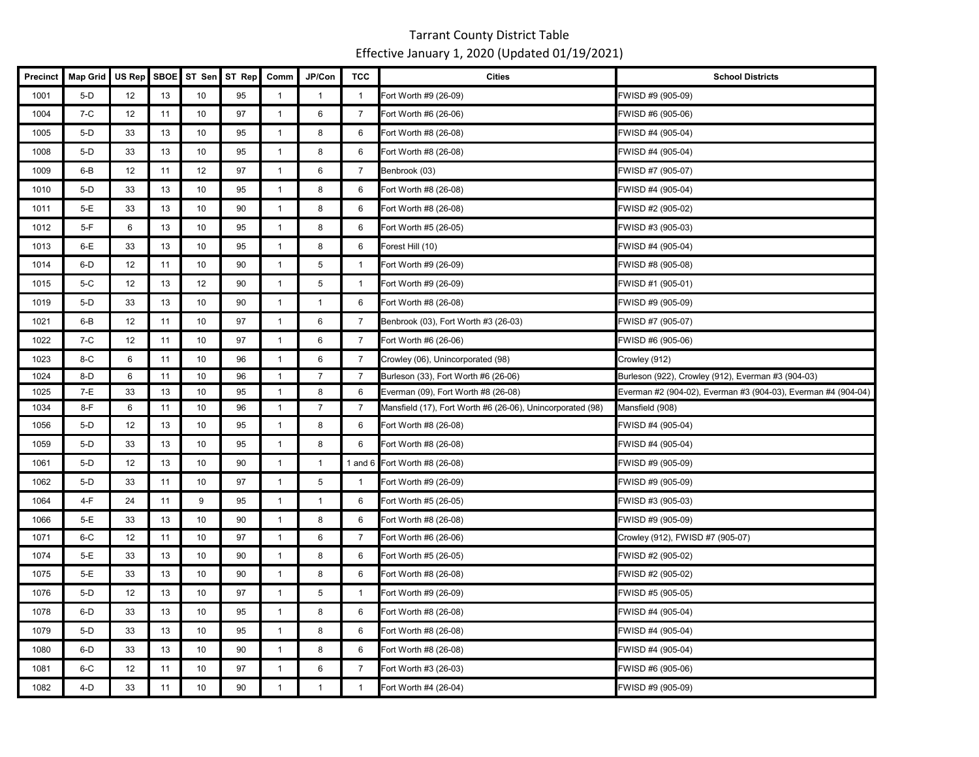| Precinct | <b>Map Grid</b> | <b>US Rep</b> | <b>SBOE</b> | ST Sen | ST Rep | Comm           | JP/Con          | <b>TCC</b>     | <b>Cities</b>                                              | <b>School Districts</b>                                       |
|----------|-----------------|---------------|-------------|--------|--------|----------------|-----------------|----------------|------------------------------------------------------------|---------------------------------------------------------------|
| 1001     | $5-D$           | 12            | 13          | 10     | 95     | $\mathbf{1}$   | $\mathbf{1}$    | $\overline{1}$ | Fort Worth #9 (26-09)                                      | FWISD #9 (905-09)                                             |
| 1004     | $7-C$           | 12            | 11          | 10     | 97     | $\mathbf{1}$   | 6               | $\overline{7}$ | Fort Worth #6 (26-06)                                      | FWISD #6 (905-06)                                             |
| 1005     | $5-D$           | 33            | 13          | 10     | 95     | $\mathbf{1}$   | 8               | 6              | Fort Worth #8 (26-08)                                      | FWISD #4 (905-04)                                             |
| 1008     | $5-D$           | 33            | 13          | 10     | 95     | $\mathbf{1}$   | 8               | 6              | Fort Worth #8 (26-08)                                      | FWISD #4 (905-04)                                             |
| 1009     | $6 - B$         | 12            | 11          | 12     | 97     | $\mathbf{1}$   | 6               | $\overline{7}$ | Benbrook (03)                                              | FWISD #7 (905-07)                                             |
| 1010     | $5-D$           | 33            | 13          | 10     | 95     | $\mathbf{1}$   | 8               | 6              | Fort Worth #8 (26-08)                                      | FWISD #4 (905-04)                                             |
| 1011     | $5-E$           | 33            | 13          | 10     | 90     | $\mathbf{1}$   | 8               | 6              | Fort Worth #8 (26-08)                                      | FWISD #2 (905-02)                                             |
| 1012     | $5-F$           | 6             | 13          | 10     | 95     | $\mathbf{1}$   | 8               | 6              | Fort Worth #5 (26-05)                                      | WISD #3 (905-03)                                              |
| 1013     | $6-E$           | 33            | 13          | 10     | 95     | $\mathbf{1}$   | 8               | 6              | Forest Hill (10)                                           | WISD #4 (905-04)                                              |
| 1014     | 6-D             | 12            | 11          | 10     | 90     | $\mathbf{1}$   | $5\phantom{.0}$ | $\mathbf{1}$   | Fort Worth #9 (26-09)                                      | FWISD #8 (905-08)                                             |
| 1015     | $5-C$           | 12            | 13          | 12     | 90     | $\mathbf{1}$   | 5               | $\mathbf{1}$   | Fort Worth #9 (26-09)                                      | FWISD #1 (905-01)                                             |
| 1019     | $5-D$           | 33            | 13          | 10     | 90     | $\mathbf{1}$   | $\mathbf{1}$    | 6              | Fort Worth #8 (26-08)                                      | FWISD #9 (905-09)                                             |
| 1021     | $6 - B$         | 12            | 11          | 10     | 97     | $\overline{1}$ | 6               | $\overline{7}$ | Benbrook (03), Fort Worth #3 (26-03)                       | FWISD #7 (905-07)                                             |
| 1022     | $7-C$           | 12            | 11          | 10     | 97     | $\mathbf{1}$   | 6               | $\overline{7}$ | Fort Worth #6 (26-06)                                      | FWISD #6 (905-06)                                             |
| 1023     | $8-C$           | 6             | 11          | 10     | 96     | $\overline{1}$ | $\,6\,$         | $\overline{7}$ | Crowley (06), Unincorporated (98)                          | Crowley (912)                                                 |
| 1024     | 8-D             | 6             | 11          | 10     | 96     | $\overline{1}$ | $\overline{7}$  | $\overline{7}$ | Burleson (33), Fort Worth #6 (26-06)                       | Burleson (922), Crowley (912), Everman #3 (904-03)            |
| 1025     | $7-E$           | 33            | 13          | 10     | 95     | $\mathbf{1}$   | 8               | 6              | Everman (09), Fort Worth #8 (26-08)                        | Everman #2 (904-02), Everman #3 (904-03), Everman #4 (904-04) |
| 1034     | $8-F$           | 6             | 11          | 10     | 96     | $\mathbf{1}$   | $\overline{7}$  | 7              | Mansfield (17), Fort Worth #6 (26-06), Unincorporated (98) | Mansfield (908)                                               |
| 1056     | $5-D$           | 12            | 13          | 10     | 95     | $\mathbf{1}$   | 8               | 6              | Fort Worth #8 (26-08)                                      | FWISD #4 (905-04)                                             |
| 1059     | $5-D$           | 33            | 13          | 10     | 95     | $\mathbf{1}$   | 8               | 6              | Fort Worth #8 (26-08)                                      | FWISD #4 (905-04)                                             |
| 1061     | $5-D$           | 12            | 13          | 10     | 90     | $\mathbf{1}$   | $\mathbf{1}$    |                | 1 and 6 Fort Worth #8 (26-08)                              | FWISD #9 (905-09)                                             |
| 1062     | $5-D$           | 33            | 11          | 10     | 97     | $\mathbf{1}$   | $\overline{5}$  | $\mathbf{1}$   | Fort Worth #9 (26-09)                                      | FWISD #9 (905-09)                                             |
| 1064     | $4-F$           | 24            | 11          | 9      | 95     | $\mathbf{1}$   | $\mathbf{1}$    | 6              | Fort Worth #5 (26-05)                                      | WISD #3 (905-03)                                              |
| 1066     | $5-E$           | 33            | 13          | 10     | 90     | $\overline{1}$ | 8               | 6              | Fort Worth #8 (26-08)                                      | FWISD #9 (905-09)                                             |
| 1071     | $6-C$           | 12            | 11          | 10     | 97     | $\mathbf{1}$   | 6               | $\overline{7}$ | Fort Worth #6 (26-06)                                      | Crowley (912), FWISD #7 (905-07)                              |
| 1074     | $5-E$           | 33            | 13          | 10     | 90     | $\mathbf{1}$   | 8               | 6              | Fort Worth #5 (26-05)                                      | FWISD #2 (905-02)                                             |
| 1075     | $5-E$           | 33            | 13          | 10     | 90     | $\mathbf{1}$   | 8               | 6              | Fort Worth #8 (26-08)                                      | WISD #2 (905-02)                                              |
| 1076     | $5-D$           | 12            | 13          | 10     | 97     | $\mathbf{1}$   | $5\phantom{.0}$ | $\mathbf{1}$   | Fort Worth #9 (26-09)                                      | WISD #5 (905-05)                                              |
| 1078     | $6-D$           | 33            | 13          | 10     | 95     | $\mathbf{1}$   | 8               | 6              | Fort Worth #8 (26-08)                                      | FWISD #4 (905-04)                                             |
| 1079     | $5-D$           | 33            | 13          | 10     | 95     | $\mathbf{1}$   | 8               | 6              | Fort Worth #8 (26-08)                                      | FWISD #4 (905-04)                                             |
| 1080     | $6-D$           | 33            | 13          | 10     | 90     | $\mathbf{1}$   | 8               | 6              | Fort Worth #8 (26-08)                                      | FWISD #4 (905-04)                                             |
| 1081     | $6-C$           | 12            | 11          | 10     | 97     | $\mathbf{1}$   | 6               | $\overline{7}$ | Fort Worth #3 (26-03)                                      | WISD #6 (905-06)                                              |
| 1082     | $4-D$           | 33            | 11          | 10     | 90     | $\mathbf{1}$   | $\mathbf{1}$    | $\mathbf{1}$   | Fort Worth #4 (26-04)                                      | FWISD #9 (905-09)                                             |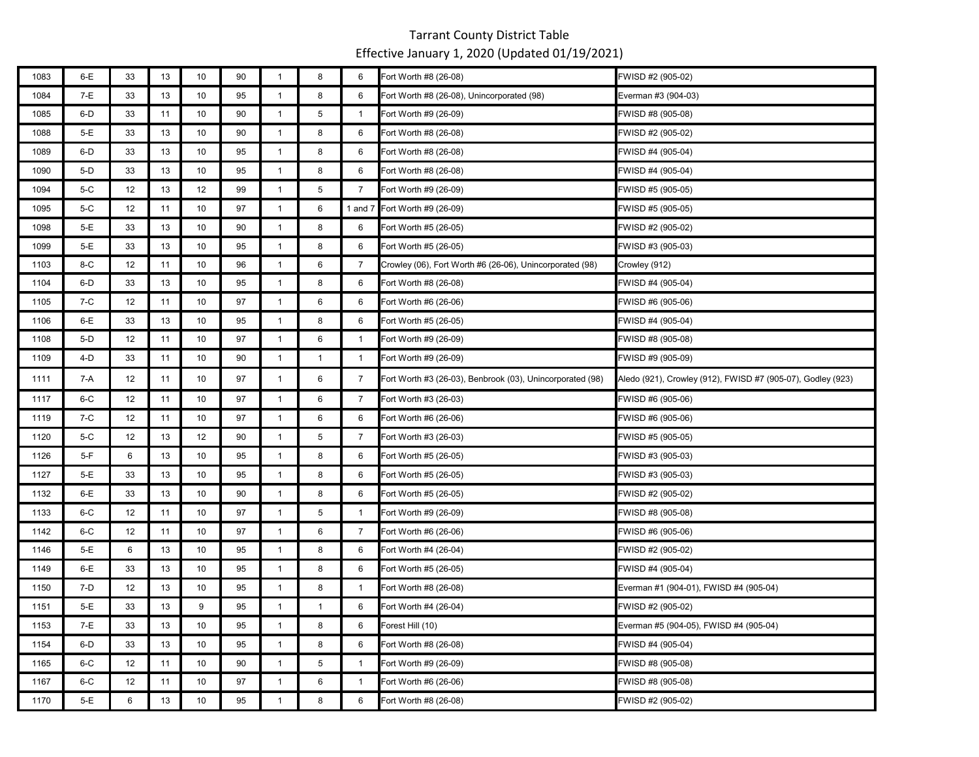| 1083 | 6-E   | 33 | 13 | 10 | 90 | $\overline{1}$ | 8            | 6              | Fort Worth #8 (26-08)                                     | FWISD #2 (905-02)                                           |
|------|-------|----|----|----|----|----------------|--------------|----------------|-----------------------------------------------------------|-------------------------------------------------------------|
| 1084 | 7-E   | 33 | 13 | 10 | 95 | $\mathbf{1}$   | 8            | 6              | Fort Worth #8 (26-08), Unincorporated (98)                | Everman #3 (904-03)                                         |
| 1085 | 6-D   | 33 | 11 | 10 | 90 | $\mathbf{1}$   | 5            | $\mathbf{1}$   | Fort Worth #9 (26-09)                                     | FWISD #8 (905-08)                                           |
| 1088 | 5-E   | 33 | 13 | 10 | 90 | $\mathbf{1}$   | 8            | 6              | Fort Worth #8 (26-08)                                     | FWISD #2 (905-02)                                           |
| 1089 | 6-D   | 33 | 13 | 10 | 95 | $\mathbf{1}$   | 8            | 6              | Fort Worth #8 (26-08)                                     | FWISD #4 (905-04)                                           |
| 1090 | $5-D$ | 33 | 13 | 10 | 95 | $\mathbf{1}$   | 8            | 6              | Fort Worth #8 (26-08)                                     | FWISD #4 (905-04)                                           |
| 1094 | 5-C   | 12 | 13 | 12 | 99 | $\mathbf{1}$   | 5            | $\overline{7}$ | Fort Worth #9 (26-09)                                     | FWISD #5 (905-05)                                           |
| 1095 | 5-C   | 12 | 11 | 10 | 97 | $\mathbf{1}$   | 6            |                | 1 and 7 Fort Worth #9 (26-09)                             | FWISD #5 (905-05)                                           |
| 1098 | 5-E   | 33 | 13 | 10 | 90 | $\mathbf{1}$   | 8            | 6              | Fort Worth #5 (26-05)                                     | FWISD #2 (905-02)                                           |
| 1099 | 5-E   | 33 | 13 | 10 | 95 | $\mathbf{1}$   | 8            | 6              | Fort Worth #5 (26-05)                                     | FWISD #3 (905-03)                                           |
| 1103 | 8-C   | 12 | 11 | 10 | 96 | $\mathbf{1}$   | 6            | $\overline{7}$ | Crowley (06), Fort Worth #6 (26-06), Unincorporated (98)  | Crowley (912)                                               |
| 1104 | 6-D   | 33 | 13 | 10 | 95 | $\mathbf{1}$   | 8            | 6              | Fort Worth #8 (26-08)                                     | FWISD #4 (905-04)                                           |
| 1105 | 7-C   | 12 | 11 | 10 | 97 | $\mathbf{1}$   | 6            | 6              | Fort Worth #6 (26-06)                                     | FWISD #6 (905-06)                                           |
| 1106 | 6-E   | 33 | 13 | 10 | 95 | $\mathbf{1}$   | 8            | 6              | Fort Worth #5 (26-05)                                     | FWISD #4 (905-04)                                           |
| 1108 | $5-D$ | 12 | 11 | 10 | 97 | $\mathbf{1}$   | 6            | $\mathbf{1}$   | Fort Worth #9 (26-09)                                     | FWISD #8 (905-08)                                           |
| 1109 | 4-D   | 33 | 11 | 10 | 90 | $\mathbf{1}$   | $\mathbf{1}$ | $\mathbf{1}$   | Fort Worth #9 (26-09)                                     | FWISD #9 (905-09)                                           |
| 1111 | 7-A   | 12 | 11 | 10 | 97 | $\mathbf{1}$   | 6            | 7              | Fort Worth #3 (26-03), Benbrook (03), Unincorporated (98) | Aledo (921), Crowley (912), FWISD #7 (905-07), Godley (923) |
| 1117 | 6-C   | 12 | 11 | 10 | 97 | $\mathbf{1}$   | 6            | $\overline{7}$ | Fort Worth #3 (26-03)                                     | FWISD #6 (905-06)                                           |
| 1119 | 7-C   | 12 | 11 | 10 | 97 | $\mathbf{1}$   | 6            | 6              | Fort Worth #6 (26-06)                                     | FWISD #6 (905-06)                                           |
| 1120 | 5-C   | 12 | 13 | 12 | 90 | $\mathbf{1}$   | 5            | 7              | Fort Worth #3 (26-03)                                     | FWISD #5 (905-05)                                           |
| 1126 | $5-F$ | 6  | 13 | 10 | 95 | $\mathbf{1}$   | 8            | 6              | Fort Worth #5 (26-05)                                     | FWISD #3 (905-03)                                           |
| 1127 | 5-E   | 33 | 13 | 10 | 95 | $\mathbf{1}$   | 8            | 6              | Fort Worth #5 (26-05)                                     | FWISD #3 (905-03)                                           |
| 1132 | 6-E   | 33 | 13 | 10 | 90 | $\mathbf{1}$   | 8            | 6              | Fort Worth #5 (26-05)                                     | FWISD #2 (905-02)                                           |
| 1133 | $6-C$ | 12 | 11 | 10 | 97 | $\mathbf{1}$   | 5            | $\mathbf{1}$   | Fort Worth #9 (26-09)                                     | FWISD #8 (905-08)                                           |
| 1142 | 6-C   | 12 | 11 | 10 | 97 | $\mathbf{1}$   | 6            | 7              | Fort Worth #6 (26-06)                                     | FWISD #6 (905-06)                                           |
| 1146 | $5-E$ | 6  | 13 | 10 | 95 | $\mathbf{1}$   | 8            | 6              | Fort Worth #4 (26-04)                                     | FWISD #2 (905-02)                                           |
| 1149 | $6-E$ | 33 | 13 | 10 | 95 | $\mathbf{1}$   | 8            | 6              | Fort Worth #5 (26-05)                                     | FWISD #4 (905-04)                                           |
| 1150 | 7-D   | 12 | 13 | 10 | 95 | $\mathbf{1}$   | 8            | $\mathbf{1}$   | Fort Worth #8 (26-08)                                     | Everman #1 (904-01), FWISD #4 (905-04)                      |
| 1151 | 5-E   | 33 | 13 | 9  | 95 | $\mathbf{1}$   | $\mathbf{1}$ | 6              | Fort Worth #4 (26-04)                                     | FWISD #2 (905-02)                                           |
| 1153 | $7-E$ | 33 | 13 | 10 | 95 | $\mathbf{1}$   | 8            | 6              | Forest Hill (10)                                          | Everman #5 (904-05), FWISD #4 (905-04)                      |
| 1154 | 6-D   | 33 | 13 | 10 | 95 | $\mathbf{1}$   | 8            | 6              | Fort Worth #8 (26-08)                                     | FWISD #4 (905-04)                                           |
| 1165 | 6-C   | 12 | 11 | 10 | 90 | $\mathbf{1}$   | 5            | $\mathbf{1}$   | Fort Worth #9 (26-09)                                     | FWISD #8 (905-08)                                           |
| 1167 | $6-C$ | 12 | 11 | 10 | 97 | $\mathbf{1}$   | 6            | $\mathbf{1}$   | Fort Worth #6 (26-06)                                     | FWISD #8 (905-08)                                           |
| 1170 | $5-E$ | 6  | 13 | 10 | 95 | $\mathbf{1}$   | 8            | 6              | Fort Worth #8 (26-08)                                     | FWISD #2 (905-02)                                           |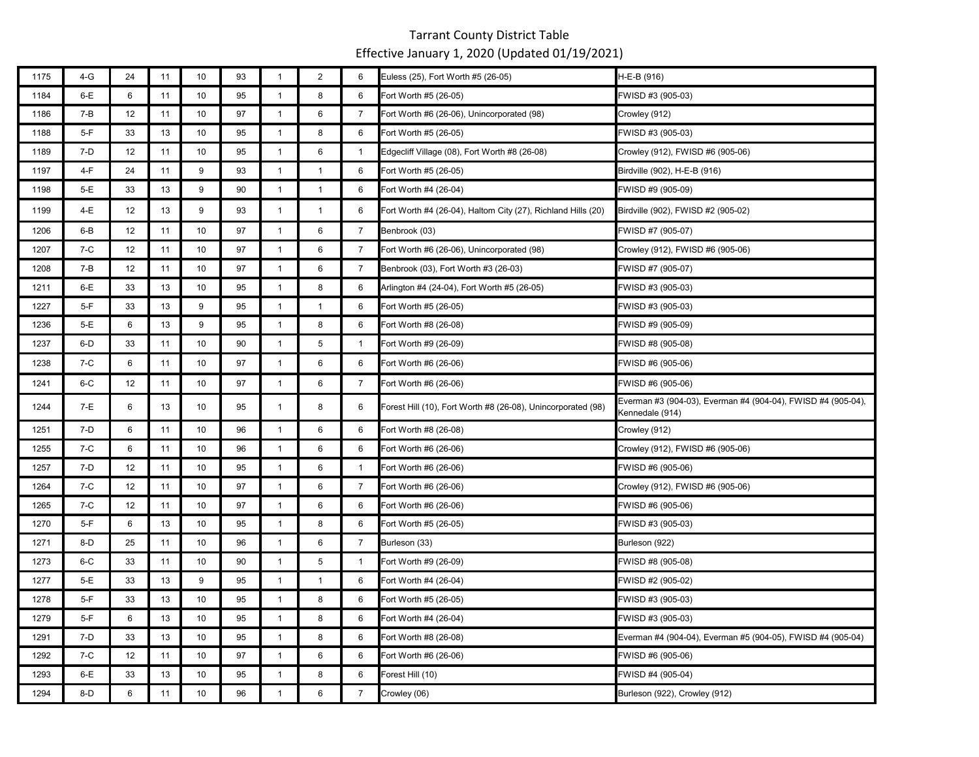| 1175 | $4-G$   | 24 | 11 | 10 | 93 | $\overline{1}$ | $\overline{2}$ | 6              | Euless (25), Fort Worth #5 (26-05)                           | H-E-B (916)                                                                     |
|------|---------|----|----|----|----|----------------|----------------|----------------|--------------------------------------------------------------|---------------------------------------------------------------------------------|
| 1184 | 6-E     | 6  | 11 | 10 | 95 | $\mathbf{1}$   | 8              | 6              | Fort Worth #5 (26-05)                                        | FWISD #3 (905-03)                                                               |
| 1186 | 7-B     | 12 | 11 | 10 | 97 | $\mathbf{1}$   | 6              | $\overline{7}$ | Fort Worth #6 (26-06), Unincorporated (98)                   | Crowley (912)                                                                   |
| 1188 | $5-F$   | 33 | 13 | 10 | 95 | $\mathbf{1}$   | 8              | 6              | Fort Worth #5 (26-05)                                        | FWISD #3 (905-03)                                                               |
| 1189 | $7-D$   | 12 | 11 | 10 | 95 | $\mathbf{1}$   | 6              | $\mathbf{1}$   | Edgecliff Village (08), Fort Worth #8 (26-08)                | Crowley (912), FWISD #6 (905-06)                                                |
| 1197 | 4-F     | 24 | 11 | 9  | 93 | $\mathbf{1}$   | $\mathbf{1}$   | 6              | Fort Worth #5 (26-05)                                        | Birdville (902), H-E-B (916)                                                    |
| 1198 | 5-E     | 33 | 13 | 9  | 90 | $\overline{1}$ | $\mathbf{1}$   | 6              | Fort Worth #4 (26-04)                                        | FWISD #9 (905-09)                                                               |
| 1199 | 4-E     | 12 | 13 | 9  | 93 | $\mathbf{1}$   | $\mathbf{1}$   | 6              | Fort Worth #4 (26-04), Haltom City (27), Richland Hills (20) | Birdville (902), FWISD #2 (905-02)                                              |
| 1206 | $6 - B$ | 12 | 11 | 10 | 97 | $\mathbf{1}$   | 6              | $\overline{7}$ | Benbrook (03)                                                | FWISD #7 (905-07)                                                               |
| 1207 | $7-C$   | 12 | 11 | 10 | 97 | $\mathbf{1}$   | 6              | $\overline{7}$ | Fort Worth #6 (26-06), Unincorporated (98)                   | Crowley (912), FWISD #6 (905-06)                                                |
| 1208 | $7 - B$ | 12 | 11 | 10 | 97 | $\overline{1}$ | 6              | 7              | Benbrook (03), Fort Worth #3 (26-03)                         | FWISD #7 (905-07)                                                               |
| 1211 | $6-E$   | 33 | 13 | 10 | 95 | $\mathbf{1}$   | 8              | 6              | Arlington #4 (24-04), Fort Worth #5 (26-05)                  | FWISD #3 (905-03)                                                               |
| 1227 | $5-F$   | 33 | 13 | 9  | 95 | $\mathbf{1}$   | $\mathbf{1}$   | 6              | Fort Worth #5 (26-05)                                        | FWISD #3 (905-03)                                                               |
| 1236 | 5-E     | 6  | 13 | 9  | 95 | $\mathbf{1}$   | 8              | 6              | Fort Worth #8 (26-08)                                        | FWISD #9 (905-09)                                                               |
| 1237 | $6-D$   | 33 | 11 | 10 | 90 | $\mathbf{1}$   | $\overline{5}$ | $\mathbf{1}$   | Fort Worth #9 (26-09)                                        | FWISD #8 (905-08)                                                               |
| 1238 | $7-C$   | 6  | 11 | 10 | 97 | $\mathbf{1}$   | 6              | 6              | Fort Worth #6 (26-06)                                        | FWISD #6 (905-06)                                                               |
| 1241 | $6-C$   | 12 | 11 | 10 | 97 | $\mathbf{1}$   | 6              | $\overline{7}$ | Fort Worth #6 (26-06)                                        | FWISD #6 (905-06)                                                               |
| 1244 | 7-E     | 6  | 13 | 10 | 95 | $\mathbf{1}$   | 8              | 6              | Forest Hill (10), Fort Worth #8 (26-08), Unincorporated (98) | Everman #3 (904-03), Everman #4 (904-04), FWISD #4 (905-04),<br>Kennedale (914) |
| 1251 | 7-D     | 6  | 11 | 10 | 96 | $\mathbf{1}$   | 6              | 6              | Fort Worth #8 (26-08)                                        | Crowley (912)                                                                   |
| 1255 | $7-C$   | 6  | 11 | 10 | 96 | $\mathbf{1}$   | 6              | 6              | Fort Worth #6 (26-06)                                        | Crowley (912), FWISD #6 (905-06)                                                |
| 1257 | 7-D     | 12 | 11 | 10 | 95 | $\mathbf{1}$   | 6              | $\mathbf{1}$   | Fort Worth #6 (26-06)                                        | FWISD #6 (905-06)                                                               |
| 1264 | $7-C$   | 12 | 11 | 10 | 97 | $\mathbf{1}$   | 6              | $\overline{7}$ | Fort Worth #6 (26-06)                                        | Crowley (912), FWISD #6 (905-06)                                                |
| 1265 | 7-C     | 12 | 11 | 10 | 97 | $\mathbf{1}$   | 6              | 6              | Fort Worth #6 (26-06)                                        | FWISD #6 (905-06)                                                               |
| 1270 | $5-F$   | 6  | 13 | 10 | 95 | $\mathbf{1}$   | 8              | 6              | Fort Worth #5 (26-05)                                        | FWISD #3 (905-03)                                                               |
| 1271 | $8-D$   | 25 | 11 | 10 | 96 | $\overline{1}$ | $\,6\,$        | $\overline{7}$ | Burleson (33)                                                | Burleson (922)                                                                  |
| 1273 | $6-C$   | 33 | 11 | 10 | 90 | $\mathbf{1}$   | 5              | $\mathbf{1}$   | Fort Worth #9 (26-09)                                        | FWISD #8 (905-08)                                                               |
| 1277 | $5-E$   | 33 | 13 | 9  | 95 | $\mathbf{1}$   | $\mathbf{1}$   | 6              | Fort Worth #4 (26-04)                                        | FWISD #2 (905-02)                                                               |
| 1278 | $5-F$   | 33 | 13 | 10 | 95 | $\mathbf{1}$   | 8              | 6              | Fort Worth #5 (26-05)                                        | FWISD #3 (905-03)                                                               |
| 1279 | $5-F$   | 6  | 13 | 10 | 95 | $\mathbf{1}$   | 8              | 6              | Fort Worth #4 (26-04)                                        | FWISD #3 (905-03)                                                               |
| 1291 | $7-D$   | 33 | 13 | 10 | 95 | $\mathbf{1}$   | 8              | 6              | Fort Worth #8 (26-08)                                        | Everman #4 (904-04), Everman #5 (904-05), FWISD #4 (905-04)                     |
| 1292 | $7-C$   | 12 | 11 | 10 | 97 | $\mathbf{1}$   | 6              | 6              | Fort Worth #6 (26-06)                                        | FWISD #6 (905-06)                                                               |
| 1293 | $6-E$   | 33 | 13 | 10 | 95 | $\mathbf{1}$   | 8              | 6              | Forest Hill (10)                                             | FWISD #4 (905-04)                                                               |
| 1294 | 8-D     | 6  | 11 | 10 | 96 | $\mathbf{1}$   | 6              | 7              | Crowley (06)                                                 | Burleson (922), Crowley (912)                                                   |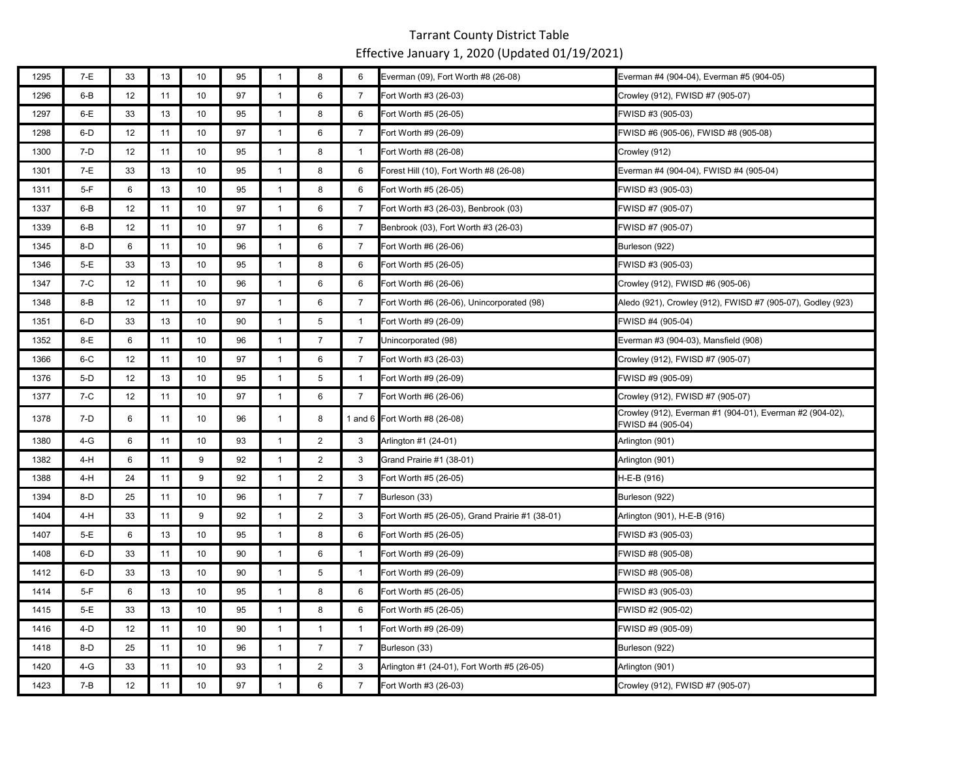| 1295 | 7-E     | 33 | 13 | 10 | 95 | $\mathbf{1}$ | 8              | 6              | Everman (09), Fort Worth #8 (26-08)             | Everman #4 (904-04), Everman #5 (904-05)                                      |
|------|---------|----|----|----|----|--------------|----------------|----------------|-------------------------------------------------|-------------------------------------------------------------------------------|
| 1296 | 6-B     | 12 | 11 | 10 | 97 | $\mathbf{1}$ | 6              | 7              | Fort Worth #3 (26-03)                           | Crowley (912), FWISD #7 (905-07)                                              |
| 1297 | 6-E     | 33 | 13 | 10 | 95 | $\mathbf{1}$ | 8              | 6              | Fort Worth #5 (26-05)                           | FWISD #3 (905-03)                                                             |
| 1298 | 6-D     | 12 | 11 | 10 | 97 | $\mathbf{1}$ | 6              | $\overline{7}$ | Fort Worth #9 (26-09)                           | FWISD #6 (905-06), FWISD #8 (905-08)                                          |
| 1300 | 7-D     | 12 | 11 | 10 | 95 | $\mathbf{1}$ | 8              | $\overline{1}$ | Fort Worth #8 (26-08)                           | Crowley (912)                                                                 |
| 1301 | 7-E     | 33 | 13 | 10 | 95 | $\mathbf{1}$ | 8              | 6              | Forest Hill (10), Fort Worth #8 (26-08)         | Everman #4 (904-04), FWISD #4 (905-04)                                        |
| 1311 | $5-F$   | 6  | 13 | 10 | 95 | $\mathbf{1}$ | 8              | 6              | Fort Worth #5 (26-05)                           | FWISD #3 (905-03)                                                             |
| 1337 | $6 - B$ | 12 | 11 | 10 | 97 | $\mathbf{1}$ | 6              | $\overline{7}$ | Fort Worth #3 (26-03), Benbrook (03)            | FWISD #7 (905-07)                                                             |
| 1339 | 6-B     | 12 | 11 | 10 | 97 | $\mathbf{1}$ | 6              | 7              | Benbrook (03), Fort Worth #3 (26-03)            | FWISD #7 (905-07)                                                             |
| 1345 | $8-D$   | 6  | 11 | 10 | 96 | $\mathbf{1}$ | 6              | $\overline{7}$ | Fort Worth #6 (26-06)                           | Burleson (922)                                                                |
| 1346 | 5-E     | 33 | 13 | 10 | 95 | $\mathbf{1}$ | 8              | 6              | Fort Worth #5 (26-05)                           | FWISD #3 (905-03)                                                             |
| 1347 | $7-C$   | 12 | 11 | 10 | 96 | $\mathbf{1}$ | 6              | 6              | Fort Worth #6 (26-06)                           | Crowley (912), FWISD #6 (905-06)                                              |
| 1348 | 8-B     | 12 | 11 | 10 | 97 | $\mathbf{1}$ | 6              | 7              | Fort Worth #6 (26-06), Unincorporated (98)      | Aledo (921), Crowley (912), FWISD #7 (905-07), Godley (923)                   |
| 1351 | 6-D     | 33 | 13 | 10 | 90 | $\mathbf{1}$ | 5              | $\overline{1}$ | Fort Worth #9 (26-09)                           | FWISD #4 (905-04)                                                             |
| 1352 | 8-E     | 6  | 11 | 10 | 96 | $\mathbf{1}$ | $\overline{7}$ | $\overline{7}$ | Unincorporated (98)                             | Everman #3 (904-03), Mansfield (908)                                          |
| 1366 | 6-C     | 12 | 11 | 10 | 97 | $\mathbf{1}$ | 6              | $\overline{7}$ | Fort Worth #3 (26-03)                           | Crowley (912), FWISD #7 (905-07)                                              |
| 1376 | $5-D$   | 12 | 13 | 10 | 95 | $\mathbf{1}$ | 5              | $\mathbf{1}$   | Fort Worth #9 (26-09)                           | FWISD #9 (905-09)                                                             |
| 1377 | 7-C     | 12 | 11 | 10 | 97 | $\mathbf{1}$ | 6              | 7              | Fort Worth #6 (26-06)                           | Crowley (912), FWISD #7 (905-07)                                              |
| 1378 | 7-D     | 6  | 11 | 10 | 96 | $\mathbf{1}$ | 8              |                | 1 and 6 Fort Worth #8 (26-08)                   | Crowley (912), Everman #1 (904-01), Everman #2 (904-02),<br>FWISD #4 (905-04) |
| 1380 | 4-G     | 6  | 11 | 10 | 93 | $\mathbf{1}$ | $\overline{c}$ | 3              | Arlington #1 (24-01)                            | Arlington (901)                                                               |
| 1382 | 4-H     | 6  | 11 | 9  | 92 | $\mathbf{1}$ | $\overline{2}$ | 3              | Grand Prairie #1 (38-01)                        | Arlington (901)                                                               |
| 1388 | 4-H     | 24 | 11 | 9  | 92 | $\mathbf{1}$ | $\overline{2}$ | 3              | Fort Worth #5 (26-05)                           | H-E-B (916)                                                                   |
| 1394 | $8-D$   | 25 | 11 | 10 | 96 | $\mathbf{1}$ | $\overline{7}$ | 7              | Burleson (33)                                   | Burleson (922)                                                                |
| 1404 | 4-H     | 33 | 11 | 9  | 92 | $\mathbf{1}$ | $\overline{2}$ | 3              | Fort Worth #5 (26-05), Grand Prairie #1 (38-01) | Arlington (901), H-E-B (916)                                                  |
| 1407 | 5-E     | 6  | 13 | 10 | 95 | $\mathbf{1}$ | 8              | 6              | Fort Worth #5 (26-05)                           | FWISD #3 (905-03)                                                             |
| 1408 | 6-D     | 33 | 11 | 10 | 90 | $\mathbf{1}$ | 6              | $\mathbf{1}$   | Fort Worth #9 (26-09)                           | FWISD #8 (905-08)                                                             |
| 1412 | $6-D$   | 33 | 13 | 10 | 90 | $\mathbf{1}$ | 5              | $\overline{1}$ | Fort Worth #9 (26-09)                           | FWISD #8 (905-08)                                                             |
| 1414 | $5-F$   | 6  | 13 | 10 | 95 | $\mathbf{1}$ | 8              | 6              | Fort Worth #5 (26-05)                           | FWISD #3 (905-03)                                                             |
| 1415 | $5-E$   | 33 | 13 | 10 | 95 | $\mathbf{1}$ | 8              | 6              | Fort Worth #5 (26-05)                           | FWISD #2 (905-02)                                                             |
| 1416 | 4-D     | 12 | 11 | 10 | 90 | $\mathbf{1}$ | $\mathbf{1}$   | $\mathbf{1}$   | Fort Worth #9 (26-09)                           | FWISD #9 (905-09)                                                             |
| 1418 | $8-D$   | 25 | 11 | 10 | 96 | $\mathbf{1}$ | $\overline{7}$ | $\overline{7}$ | Burleson (33)                                   | Burleson (922)                                                                |
| 1420 | 4-G     | 33 | 11 | 10 | 93 | $\mathbf{1}$ | $\overline{2}$ | 3              | Arlington #1 (24-01), Fort Worth #5 (26-05)     | Arlington (901)                                                               |
| 1423 | $7 - B$ | 12 | 11 | 10 | 97 | $\mathbf{1}$ | 6              | $\overline{7}$ | Fort Worth #3 (26-03)                           | Crowley (912), FWISD #7 (905-07)                                              |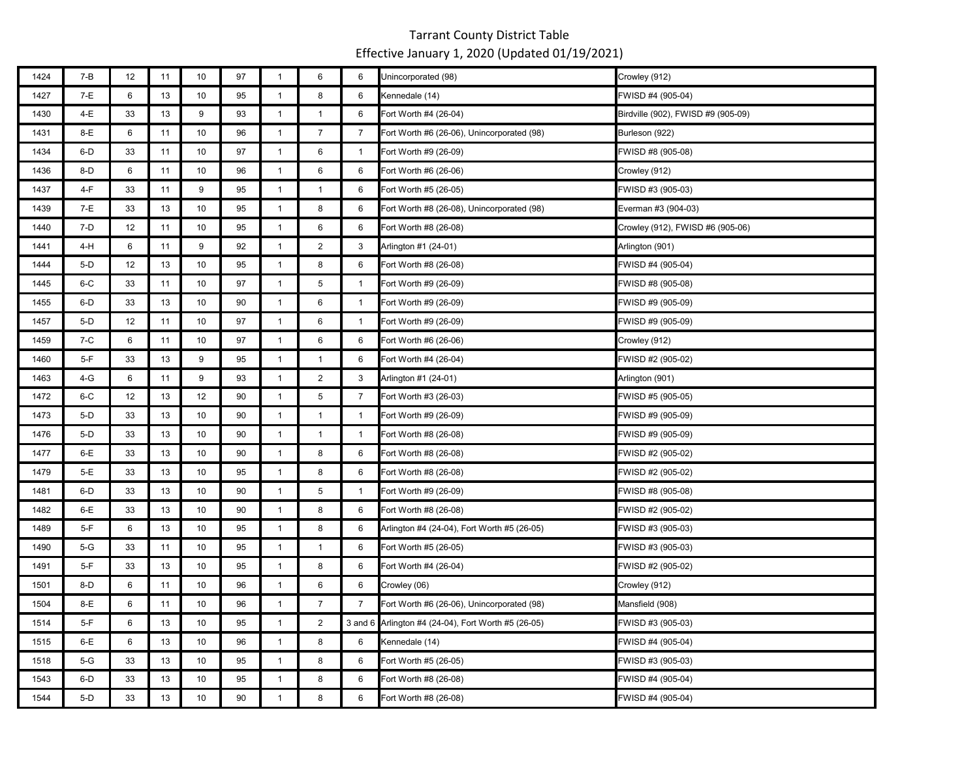| 1424 | $7 - B$ | 12 | 11 | 10   | 97 | $\mathbf{1}$   | $\,6\,$        | 6              | Unincorporated (98)                                 | Crowley (912)                      |
|------|---------|----|----|------|----|----------------|----------------|----------------|-----------------------------------------------------|------------------------------------|
| 1427 | 7-E     | 6  | 13 | 10   | 95 | $\mathbf{1}$   | 8              | 6              | Kennedale (14)                                      | FWISD #4 (905-04)                  |
| 1430 | 4-E     | 33 | 13 | 9    | 93 | $\mathbf{1}$   | $\mathbf{1}$   | 6              | Fort Worth #4 (26-04)                               | Birdville (902), FWISD #9 (905-09) |
| 1431 | 8-E     | 6  | 11 | 10   | 96 | $\mathbf{1}$   | $\overline{7}$ | $\overline{7}$ | Fort Worth #6 (26-06), Unincorporated (98)          | Burleson (922)                     |
| 1434 | $6-D$   | 33 | 11 | 10   | 97 | $\mathbf{1}$   | 6              | $\mathbf{1}$   | Fort Worth #9 (26-09)                               | FWISD #8 (905-08)                  |
| 1436 | $8-D$   | 6  | 11 | 10   | 96 | $\mathbf{1}$   | 6              | 6              | Fort Worth #6 (26-06)                               | Crowley (912)                      |
| 1437 | $4-F$   | 33 | 11 | 9    | 95 | $\overline{1}$ | $\mathbf{1}$   | 6              | Fort Worth #5 (26-05)                               | FWISD #3 (905-03)                  |
| 1439 | $7-E$   | 33 | 13 | 10   | 95 | $\mathbf{1}$   | 8              | 6              | Fort Worth #8 (26-08), Unincorporated (98)          | Everman #3 (904-03)                |
| 1440 | $7-D$   | 12 | 11 | 10   | 95 | $\mathbf{1}$   | 6              | 6              | Fort Worth #8 (26-08)                               | Crowley (912), FWISD #6 (905-06)   |
| 1441 | 4-H     | 6  | 11 | 9    | 92 | $\mathbf{1}$   | $\overline{2}$ | 3              | Arlington #1 (24-01)                                | Arlington (901)                    |
| 1444 | $5-D$   | 12 | 13 | 10   | 95 | $\mathbf{1}$   | $\bf 8$        | 6              | Fort Worth #8 (26-08)                               | FWISD #4 (905-04)                  |
| 1445 | $6-C$   | 33 | 11 | 10   | 97 | $\mathbf{1}$   | $\overline{5}$ | $\mathbf{1}$   | Fort Worth #9 (26-09)                               | FWISD #8 (905-08)                  |
| 1455 | 6-D     | 33 | 13 | 10   | 90 | $\mathbf{1}$   | 6              | $\overline{1}$ | Fort Worth #9 (26-09)                               | FWISD #9 (905-09)                  |
| 1457 | $5-D$   | 12 | 11 | 10   | 97 | $\overline{1}$ | 6              | $\mathbf{1}$   | Fort Worth #9 (26-09)                               | FWISD #9 (905-09)                  |
| 1459 | $7-C$   | 6  | 11 | 10   | 97 | $\mathbf{1}$   | 6              | 6              | Fort Worth #6 (26-06)                               | Crowley (912)                      |
| 1460 | $5-F$   | 33 | 13 | 9    | 95 | $\mathbf{1}$   | $\mathbf{1}$   | 6              | Fort Worth #4 (26-04)                               | FWISD #2 (905-02)                  |
| 1463 | $4-G$   | 6  | 11 | 9    | 93 | $\mathbf{1}$   | $\overline{2}$ | 3              | Arlington #1 (24-01)                                | Arlington (901)                    |
| 1472 | $6-C$   | 12 | 13 | 12   | 90 | $\overline{1}$ | $\overline{5}$ | $\overline{7}$ | Fort Worth #3 (26-03)                               | FWISD #5 (905-05)                  |
| 1473 | $5-D$   | 33 | 13 | 10   | 90 | $\mathbf{1}$   | $\mathbf{1}$   | $\overline{1}$ | Fort Worth #9 (26-09)                               | FWISD #9 (905-09)                  |
| 1476 | $5-D$   | 33 | 13 | 10   | 90 | $\mathbf{1}$   | $\mathbf{1}$   | $\mathbf{1}$   | Fort Worth #8 (26-08)                               | FWISD #9 (905-09)                  |
| 1477 | $6-E$   | 33 | 13 | 10   | 90 | $\mathbf{1}$   | 8              | 6              | Fort Worth #8 (26-08)                               | FWISD #2 (905-02)                  |
| 1479 | $5-E$   | 33 | 13 | $10$ | 95 | $\mathbf{1}$   | 8              | 6              | Fort Worth #8 (26-08)                               | FWISD #2 (905-02)                  |
| 1481 | 6-D     | 33 | 13 | 10   | 90 | $\mathbf{1}$   | 5              | $\mathbf{1}$   | Fort Worth #9 (26-09)                               | FWISD #8 (905-08)                  |
| 1482 | $6-E$   | 33 | 13 | 10   | 90 | $\mathbf{1}$   | 8              | 6              | Fort Worth #8 (26-08)                               | FWISD #2 (905-02)                  |
| 1489 | $5-F$   | 6  | 13 | 10   | 95 | $\mathbf{1}$   | 8              | 6              | Arlington #4 (24-04), Fort Worth #5 (26-05)         | FWISD #3 (905-03)                  |
| 1490 | $5-G$   | 33 | 11 | 10   | 95 | $\mathbf{1}$   | $\mathbf{1}$   | 6              | Fort Worth #5 (26-05)                               | FWISD #3 (905-03)                  |
| 1491 | $5-F$   | 33 | 13 | 10   | 95 | $\overline{1}$ | 8              | 6              | Fort Worth #4 (26-04)                               | FWISD #2 (905-02)                  |
| 1501 | $8-D$   | 6  | 11 | 10   | 96 | $\mathbf{1}$   | 6              | 6              | Crowley (06)                                        | Crowley (912)                      |
| 1504 | $8-E$   | 6  | 11 | $10$ | 96 | $\mathbf{1}$   | $\overline{7}$ | $\overline{7}$ | Fort Worth #6 (26-06), Unincorporated (98)          | Mansfield (908)                    |
| 1514 | $5-F$   | 6  | 13 | 10   | 95 | $\overline{1}$ | 2              |                | 3 and 6 Arlington #4 (24-04), Fort Worth #5 (26-05) | FWISD #3 (905-03)                  |
| 1515 | 6-E     | 6  | 13 | 10   | 96 | $\mathbf{1}$   | 8              | 6              | Kennedale (14)                                      | FWISD #4 (905-04)                  |
| 1518 | $5-G$   | 33 | 13 | 10   | 95 | $\mathbf{1}$   | 8              | 6              | Fort Worth #5 (26-05)                               | FWISD #3 (905-03)                  |
| 1543 | $6-D$   | 33 | 13 | 10   | 95 | $\mathbf{1}$   | 8              | 6              | Fort Worth #8 (26-08)                               | FWISD #4 (905-04)                  |
| 1544 | $5-D$   | 33 | 13 | 10   | 90 | $\mathbf{1}$   | 8              | 6              | Fort Worth #8 (26-08)                               | FWISD #4 (905-04)                  |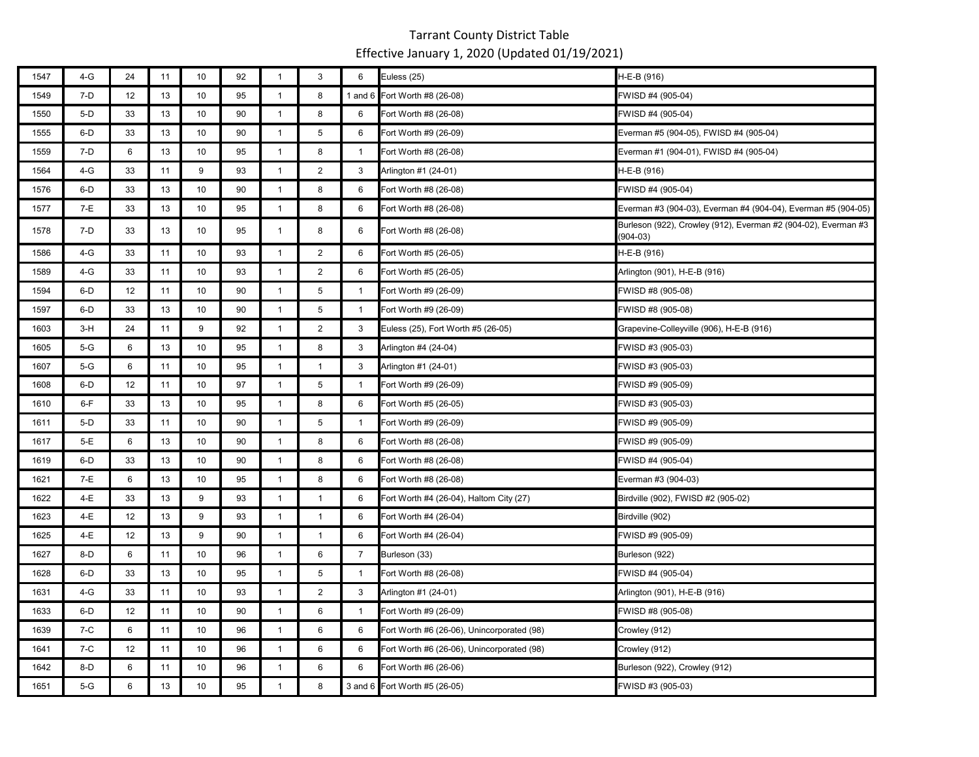| 1547 | $4-G$ | 24 | 11 | 10              | 92 | $\mathbf{1}$   | $\ensuremath{\mathsf{3}}$ | 6              | Euless (25)                                | H-E-B (916)                                                                |
|------|-------|----|----|-----------------|----|----------------|---------------------------|----------------|--------------------------------------------|----------------------------------------------------------------------------|
| 1549 | 7-D   | 12 | 13 | 10              | 95 | $\mathbf{1}$   | 8                         |                | 1 and 6 Fort Worth #8 (26-08)              | FWISD #4 (905-04)                                                          |
| 1550 | $5-D$ | 33 | 13 | 10              | 90 | $\mathbf{1}$   | 8                         | 6              | Fort Worth #8 (26-08)                      | FWISD #4 (905-04)                                                          |
| 1555 | $6-D$ | 33 | 13 | 10              | 90 | $\mathbf{1}$   | 5                         | 6              | Fort Worth #9 (26-09)                      | Everman #5 (904-05), FWISD #4 (905-04)                                     |
| 1559 | 7-D   | 6  | 13 | 10              | 95 | $\mathbf{1}$   | 8                         | $\mathbf{1}$   | Fort Worth #8 (26-08)                      | Everman #1 (904-01), FWISD #4 (905-04)                                     |
| 1564 | 4-G   | 33 | 11 | 9               | 93 | $\mathbf{1}$   | $\overline{2}$            | 3              | Arlington #1 (24-01)                       | H-E-B (916)                                                                |
| 1576 | $6-D$ | 33 | 13 | 10              | 90 | $\mathbf{1}$   | 8                         | 6              | Fort Worth #8 (26-08)                      | FWISD #4 (905-04)                                                          |
| 1577 | 7-E   | 33 | 13 | 10              | 95 | $\mathbf{1}$   | 8                         | 6              | Fort Worth #8 (26-08)                      | Everman #3 (904-03), Everman #4 (904-04), Everman #5 (904-05)              |
| 1578 | 7-D   | 33 | 13 | 10              | 95 | $\mathbf{1}$   | 8                         | 6              | Fort Worth #8 (26-08)                      | Burleson (922), Crowley (912), Everman #2 (904-02), Everman #3<br>(904-03) |
| 1586 | 4-G   | 33 | 11 | 10              | 93 | $\mathbf{1}$   | $\overline{2}$            | 6              | Fort Worth #5 (26-05)                      | H-E-B (916)                                                                |
| 1589 | 4-G   | 33 | 11 | 10              | 93 | $\mathbf{1}$   | $\overline{2}$            | 6              | Fort Worth #5 (26-05)                      | Arlington (901), H-E-B (916)                                               |
| 1594 | $6-D$ | 12 | 11 | 10              | 90 | $\mathbf{1}$   | 5                         | $\mathbf{1}$   | Fort Worth #9 (26-09)                      | FWISD #8 (905-08)                                                          |
| 1597 | $6-D$ | 33 | 13 | 10              | 90 | $\mathbf{1}$   | 5                         | $\mathbf{1}$   | Fort Worth #9 (26-09)                      | FWISD #8 (905-08)                                                          |
| 1603 | $3-H$ | 24 | 11 | 9               | 92 | $\mathbf{1}$   | $\overline{2}$            | 3              | Euless (25), Fort Worth #5 (26-05)         | Grapevine-Colleyville (906), H-E-B (916)                                   |
| 1605 | $5-G$ | 6  | 13 | 10              | 95 | $\mathbf{1}$   | 8                         | 3              | Arlington #4 (24-04)                       | FWISD #3 (905-03)                                                          |
| 1607 | $5-G$ | 6  | 11 | 10              | 95 | $\mathbf{1}$   | $\mathbf{1}$              | 3              | Arlington #1 (24-01)                       | FWISD #3 (905-03)                                                          |
| 1608 | $6-D$ | 12 | 11 | 10              | 97 | $\mathbf{1}$   | 5                         | $\mathbf{1}$   | Fort Worth #9 (26-09)                      | FWISD #9 (905-09)                                                          |
| 1610 | $6-F$ | 33 | 13 | 10              | 95 | $\overline{1}$ | 8                         | 6              | Fort Worth #5 (26-05)                      | FWISD #3 (905-03)                                                          |
| 1611 | $5-D$ | 33 | 11 | 10              | 90 | $\mathbf{1}$   | 5                         | $\mathbf{1}$   | Fort Worth #9 (26-09)                      | FWISD #9 (905-09)                                                          |
| 1617 | 5-E   | 6  | 13 | 10 <sup>1</sup> | 90 | $\mathbf{1}$   | 8                         | 6              | Fort Worth #8 (26-08)                      | FWISD #9 (905-09)                                                          |
| 1619 | $6-D$ | 33 | 13 | 10              | 90 | $\mathbf{1}$   | 8                         | 6              | Fort Worth #8 (26-08)                      | FWISD #4 (905-04)                                                          |
| 1621 | 7-E   | 6  | 13 | 10              | 95 | $\mathbf{1}$   | 8                         | 6              | Fort Worth #8 (26-08)                      | Everman #3 (904-03)                                                        |
| 1622 | 4-E   | 33 | 13 | 9               | 93 | $\mathbf{1}$   | $\mathbf{1}$              | 6              | Fort Worth #4 (26-04), Haltom City (27)    | Birdville (902), FWISD #2 (905-02)                                         |
| 1623 | 4-E   | 12 | 13 | 9               | 93 | $\mathbf{1}$   | $\mathbf{1}$              | 6              | Fort Worth #4 (26-04)                      | Birdville (902)                                                            |
| 1625 | 4-E   | 12 | 13 | 9               | 90 | $\mathbf{1}$   | $\mathbf{1}$              | 6              | Fort Worth #4 (26-04)                      | FWISD #9 (905-09)                                                          |
| 1627 | $8-D$ | 6  | 11 | 10              | 96 | $\mathbf{1}$   | $\,6\,$                   | $\overline{7}$ | Burleson (33)                              | Burleson (922)                                                             |
| 1628 | $6-D$ | 33 | 13 | 10              | 95 | $\mathbf{1}$   | 5                         | $\mathbf{1}$   | Fort Worth #8 (26-08)                      | FWISD #4 (905-04)                                                          |
| 1631 | $4-G$ | 33 | 11 | 10 <sup>1</sup> | 93 | $\mathbf{1}$   | $\overline{2}$            | 3              | Arlington #1 (24-01)                       | Arlington (901), H-E-B (916)                                               |
| 1633 | $6-D$ | 12 | 11 | 10 <sup>1</sup> | 90 | $\mathbf{1}$   | 6                         | $\mathbf{1}$   | Fort Worth #9 (26-09)                      | FWISD #8 (905-08)                                                          |
| 1639 | $7-C$ | 6  | 11 | 10 <sup>°</sup> | 96 | $\mathbf{1}$   | 6                         | 6              | Fort Worth #6 (26-06), Unincorporated (98) | Crowley (912)                                                              |
| 1641 | $7-C$ | 12 | 11 | 10              | 96 | $\mathbf{1}$   | 6                         | 6              | Fort Worth #6 (26-06), Unincorporated (98) | Crowley (912)                                                              |
| 1642 | 8-D   | 6  | 11 | 10              | 96 | $\mathbf{1}$   | 6                         | 6              | Fort Worth #6 (26-06)                      | Burleson (922), Crowley (912)                                              |
| 1651 | $5-G$ | 6  | 13 | 10 <sup>°</sup> | 95 | $\mathbf{1}$   | 8                         |                | 3 and 6 Fort Worth #5 (26-05)              | FWISD #3 (905-03)                                                          |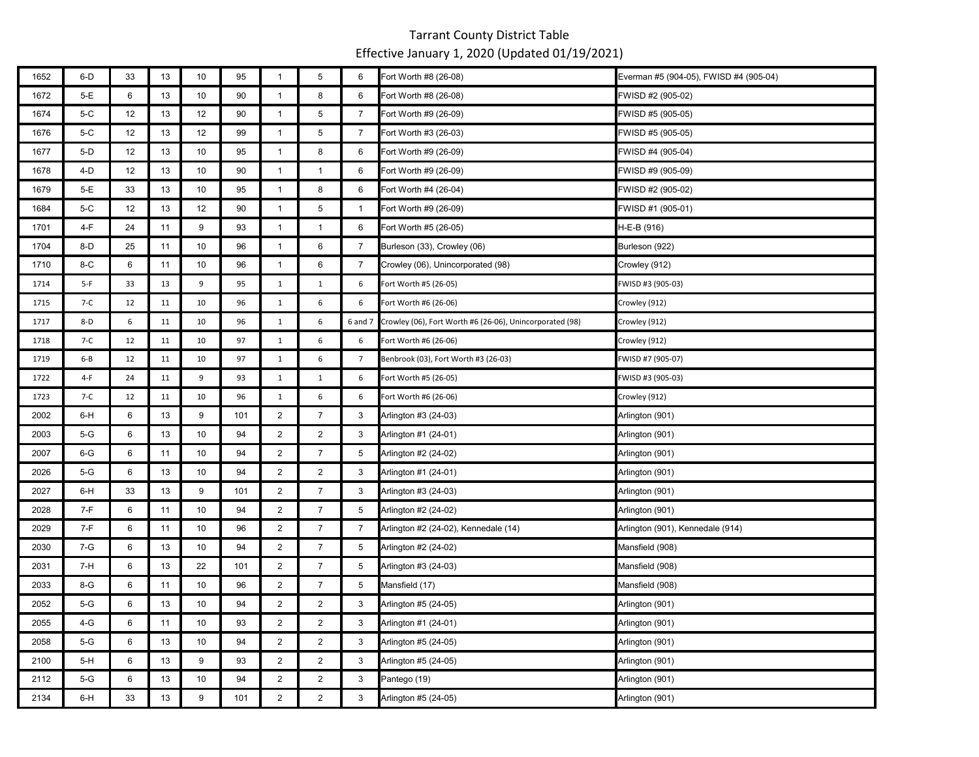| 1652 | 6-D   | 33 | 13     | 10 | 95  | $\mathbf{1}$   | 5               | 6              | Fort Worth #8 (26-08)                                    | Everman #5 (904-05), FWISD #4 (905-04) |
|------|-------|----|--------|----|-----|----------------|-----------------|----------------|----------------------------------------------------------|----------------------------------------|
| 1672 | 5-E   | 6  | 13     | 10 | 90  | $\mathbf{1}$   | 8               | 6              | Fort Worth #8 (26-08)                                    | FWISD #2 (905-02)                      |
| 1674 | 5-C   | 12 | 13     | 12 | 90  | $\mathbf{1}$   | $\sqrt{5}$      | $\overline{7}$ | Fort Worth #9 (26-09)                                    | FWISD #5 (905-05)                      |
| 1676 | $5-C$ | 12 | 13     | 12 | 99  | $\mathbf{1}$   | 5               | $\overline{7}$ | Fort Worth #3 (26-03)                                    | FWISD #5 (905-05)                      |
| 1677 | $5-D$ | 12 | 13     | 10 | 95  | $\mathbf{1}$   | 8               | 6              | Fort Worth #9 (26-09)                                    | FWISD #4 (905-04)                      |
| 1678 | 4-D   | 12 | 13     | 10 | 90  | $\mathbf{1}$   | $\mathbf{1}$    | 6              | Fort Worth #9 (26-09)                                    | FWISD #9 (905-09)                      |
| 1679 | 5-E   | 33 | 13     | 10 | 95  | $\mathbf{1}$   | 8               | 6              | Fort Worth #4 (26-04)                                    | FWISD #2 (905-02)                      |
| 1684 | $5-C$ | 12 | 13     | 12 | 90  | $\mathbf{1}$   | $5\phantom{.0}$ | $\mathbf{1}$   | Fort Worth #9 (26-09)                                    | FWISD #1 (905-01)                      |
| 1701 | $4-F$ | 24 | 11     | 9  | 93  | $\mathbf{1}$   | $\mathbf{1}$    | 6              | Fort Worth #5 (26-05)                                    | H-E-B (916)                            |
| 1704 | $8-D$ | 25 | 11     | 10 | 96  | $\mathbf{1}$   | 6               | $\overline{7}$ | Burleson (33), Crowley (06)                              | Burleson (922)                         |
| 1710 | $8-C$ | 6  | 11     | 10 | 96  | $\mathbf{1}$   | 6               | 7              | Crowley (06), Unincorporated (98)                        | Crowley (912)                          |
| 1714 | $5-F$ | 33 | 13     | 9  | 95  | $\mathbf 1$    | $\mathbf{1}$    | 6              | Fort Worth #5 (26-05)                                    | FWISD #3 (905-03)                      |
| 1715 | $7-C$ | 12 | 11     | 10 | 96  | $\mathbf{1}$   | 6               | 6              | Fort Worth #6 (26-06)                                    | Crowley (912)                          |
| 1717 | $8-D$ | 6  | 11     | 10 | 96  | $\mathbf{1}$   | 6               | 6 and 7        | Crowley (06), Fort Worth #6 (26-06), Unincorporated (98) | Crowley (912)                          |
| 1718 | 7-C   | 12 | 11     | 10 | 97  | $\mathbf{1}$   | 6               | 6              | Fort Worth #6 (26-06)                                    | Crowley (912)                          |
| 1719 | 6-B   | 12 | 11     | 10 | 97  | $\mathbf{1}$   | 6               | 7              | Benbrook (03), Fort Worth #3 (26-03)                     | FWISD #7 (905-07)                      |
| 1722 | 4-F   | 24 | $11\,$ | 9  | 93  | $\mathbf{1}$   | $\mathbf{1}$    | 6              | Fort Worth #5 (26-05)                                    | FWISD #3 (905-03)                      |
| 1723 | $7-C$ | 12 | 11     | 10 | 96  | $\mathbf{1}$   | 6               | 6              | Fort Worth #6 (26-06)                                    | Crowley (912)                          |
| 2002 | 6-H   | 6  | 13     | 9  | 101 | $\overline{2}$ | $\overline{7}$  | 3              | Arlington #3 (24-03)                                     | Arlington (901)                        |
| 2003 | $5-G$ | 6  | 13     | 10 | 94  | $\overline{2}$ | $\overline{2}$  | 3              | Arlington #1 (24-01)                                     | Arlington (901)                        |
| 2007 | $6-G$ | 6  | 11     | 10 | 94  | $\overline{2}$ | $\overline{7}$  | 5              | Arlington #2 (24-02)                                     | Arlington (901)                        |
| 2026 | $5-G$ | 6  | 13     | 10 | 94  | $\overline{2}$ | $\overline{2}$  | 3              | Arlington #1 (24-01)                                     | Arlington (901)                        |
| 2027 | 6-H   | 33 | 13     | 9  | 101 | $\overline{2}$ | $\overline{7}$  | 3              | Arlington #3 (24-03)                                     | Arlington (901)                        |
| 2028 | 7-F   | 6  | 11     | 10 | 94  | $\overline{2}$ | $\overline{7}$  | 5              | Arlington #2 (24-02)                                     | Arlington (901)                        |
| 2029 | 7-F   | 6  | 11     | 10 | 96  | $\overline{2}$ | $\overline{7}$  | $\overline{7}$ | Arlington #2 (24-02), Kennedale (14)                     | Arlington (901), Kennedale (914)       |
| 2030 | 7-G   | 6  | 13     | 10 | 94  | $\overline{2}$ | $\overline{7}$  | 5              | Arlington #2 (24-02)                                     | Mansfield (908)                        |
| 2031 | 7-H   | 6  | 13     | 22 | 101 | $\overline{2}$ | $\overline{7}$  | 5              | Arlington #3 (24-03)                                     | Mansfield (908)                        |
| 2033 | 8-G   | 6  | 11     | 10 | 96  | $\overline{2}$ | $\overline{7}$  | 5              | Mansfield (17)                                           | Mansfield (908)                        |
| 2052 | 5-G   | 6  | 13     | 10 | 94  | $\overline{2}$ | $\overline{2}$  | 3              | Arlington #5 (24-05)                                     | Arlington (901)                        |
| 2055 | 4-G   | 6  | 11     | 10 | 93  | $\overline{2}$ | $\overline{2}$  | 3              | Arlington #1 (24-01)                                     | Arlington (901)                        |
| 2058 | $5-G$ | 6  | 13     | 10 | 94  | $\overline{2}$ | $\overline{2}$  | 3              | Arlington #5 (24-05)                                     | Arlington (901)                        |
| 2100 | 5-H   | 6  | 13     | 9  | 93  | $\overline{2}$ | $\overline{2}$  | 3              | Arlington #5 (24-05)                                     | Arlington (901)                        |
| 2112 | 5-G   | 6  | 13     | 10 | 94  | $\overline{2}$ | $\overline{2}$  | 3              | Pantego (19)                                             | Arlington (901)                        |
| 2134 | 6-H   | 33 | 13     | 9  | 101 | $\overline{2}$ | $\overline{2}$  | 3              | Arlington #5 (24-05)                                     | Arlington (901)                        |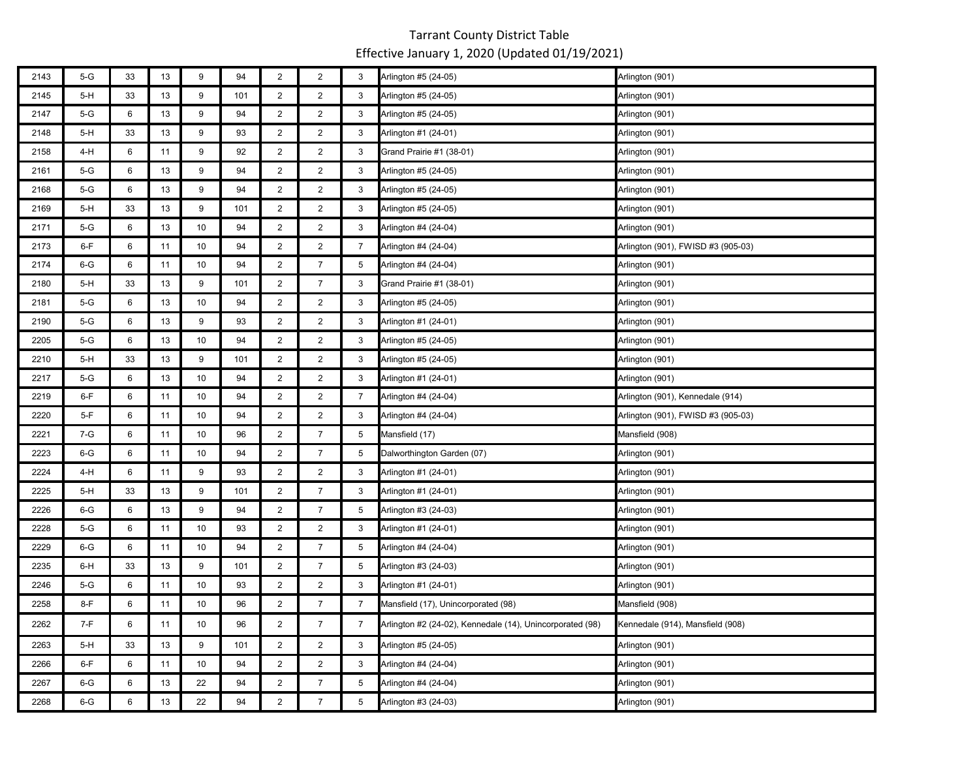| 2143 | $5-G$ | 33 | 13     | 9  | 94  | $\overline{2}$ | $\overline{2}$ | 3               | Arlington #5 (24-05)                                      | Arlington (901)                    |
|------|-------|----|--------|----|-----|----------------|----------------|-----------------|-----------------------------------------------------------|------------------------------------|
| 2145 | $5-H$ | 33 | 13     | 9  | 101 | $\overline{2}$ | $\overline{2}$ | 3               | Arlington #5 (24-05)                                      | Arlington (901)                    |
| 2147 | 5-G   | 6  | 13     | 9  | 94  | $\overline{2}$ | $\overline{2}$ | 3               | Arlington #5 (24-05)                                      | Arlington (901)                    |
| 2148 | 5-H   | 33 | 13     | 9  | 93  | $\overline{2}$ | $\overline{2}$ | 3               | Arlington #1 (24-01)                                      | Arlington (901)                    |
| 2158 | 4-H   | 6  | 11     | 9  | 92  | $\overline{2}$ | $\overline{2}$ | 3               | Grand Prairie #1 (38-01)                                  | Arlington (901)                    |
| 2161 | 5-G   | 6  | 13     | 9  | 94  | $\overline{2}$ | $\overline{2}$ | 3               | Arlington #5 (24-05)                                      | Arlington (901)                    |
| 2168 | 5-G   | 6  | 13     | 9  | 94  | $\overline{2}$ | $\overline{2}$ | 3               | Arlington #5 (24-05)                                      | Arlington (901)                    |
| 2169 | $5-H$ | 33 | 13     | 9  | 101 | $\overline{2}$ | $\overline{2}$ | 3               | Arlington #5 (24-05)                                      | Arlington (901)                    |
| 2171 | 5-G   | 6  | 13     | 10 | 94  | $\overline{2}$ | $\overline{2}$ | 3               | Arlington #4 (24-04)                                      | Arlington (901)                    |
| 2173 | 6-F   | 6  | 11     | 10 | 94  | $\overline{2}$ | $\overline{2}$ | $\overline{7}$  | Arlington #4 (24-04)                                      | Arlington (901), FWISD #3 (905-03) |
| 2174 | 6-G   | 6  | 11     | 10 | 94  | $\overline{2}$ | $\overline{7}$ | 5               | Arlington #4 (24-04)                                      | Arlington (901)                    |
| 2180 | $5-H$ | 33 | 13     | 9  | 101 | $\overline{2}$ | $\overline{7}$ | 3               | Grand Prairie #1 (38-01)                                  | Arlington (901)                    |
| 2181 | 5-G   | 6  | 13     | 10 | 94  | $\overline{2}$ | $\overline{2}$ | 3               | Arlington #5 (24-05)                                      | Arlington (901)                    |
| 2190 | 5-G   | 6  | 13     | 9  | 93  | $\overline{2}$ | $\overline{2}$ | 3               | Arlington #1 (24-01)                                      | Arlington (901)                    |
| 2205 | 5-G   | 6  | 13     | 10 | 94  | $\overline{2}$ | $\overline{2}$ | 3               | Arlington #5 (24-05)                                      | Arlington (901)                    |
| 2210 | $5-H$ | 33 | 13     | 9  | 101 | $\overline{2}$ | $\overline{2}$ | 3               | Arlington #5 (24-05)                                      | Arlington (901)                    |
| 2217 | 5-G   | 6  | 13     | 10 | 94  | $\overline{2}$ | $\overline{2}$ | 3               | Arlington #1 (24-01)                                      | Arlington (901)                    |
| 2219 | 6-F   | 6  | 11     | 10 | 94  | $\overline{2}$ | $\overline{2}$ | $\overline{7}$  | Arlington #4 (24-04)                                      | Arlington (901), Kennedale (914)   |
| 2220 | $5-F$ | 6  | 11     | 10 | 94  | $\overline{2}$ | $\overline{2}$ | 3               | Arlington #4 (24-04)                                      | Arlington (901), FWISD #3 (905-03) |
| 2221 | 7-G   | 6  | 11     | 10 | 96  | $\overline{2}$ | $\overline{7}$ | 5               | Mansfield (17)                                            | Mansfield (908)                    |
| 2223 | $6-G$ | 6  | 11     | 10 | 94  | $\overline{2}$ | $\overline{7}$ | 5               | Dalworthington Garden (07)                                | Arlington (901)                    |
| 2224 | 4-H   | 6  | 11     | 9  | 93  | $\overline{2}$ | $\overline{2}$ | 3               | Arlington #1 (24-01)                                      | Arlington (901)                    |
| 2225 | $5-H$ | 33 | 13     | 9  | 101 | $\overline{2}$ | $\overline{7}$ | 3               | Arlington #1 (24-01)                                      | Arlington (901)                    |
| 2226 | 6-G   | 6  | 13     | 9  | 94  | $\overline{2}$ | $\overline{7}$ | 5               | Arlington #3 (24-03)                                      | Arlington (901)                    |
| 2228 | 5-G   | 6  | 11     | 10 | 93  | $\overline{2}$ | $\overline{2}$ | 3               | Arlington #1 (24-01)                                      | Arlington (901)                    |
| 2229 | $6-G$ | 6  | 11     | 10 | 94  | $\overline{2}$ | $\overline{7}$ | 5               | Arlington #4 (24-04)                                      | Arlington (901)                    |
| 2235 | 6-H   | 33 | 13     | 9  | 101 | $\overline{2}$ | $\overline{7}$ | 5               | Arlington #3 (24-03)                                      | Arlington (901)                    |
| 2246 | 5-G   | 6  | 11     | 10 | 93  | $\overline{2}$ | $\overline{2}$ | 3               | Arlington #1 (24-01)                                      | Arlington (901)                    |
| 2258 | 8-F   | 6  | 11     | 10 | 96  | $\overline{2}$ | $\overline{7}$ | $\overline{7}$  | Mansfield (17), Unincorporated (98)                       | Mansfield (908)                    |
| 2262 | $7-F$ | 6  | 11     | 10 | 96  | $\overline{2}$ | $\overline{7}$ | 7               | Arlington #2 (24-02), Kennedale (14), Unincorporated (98) | Kennedale (914), Mansfield (908)   |
| 2263 | $5-H$ | 33 | 13     | 9  | 101 | $\overline{2}$ | $\overline{2}$ | 3               | Arlington #5 (24-05)                                      | Arlington (901)                    |
| 2266 | $6-F$ | 6  | 11     | 10 | 94  | $\overline{2}$ | $\overline{2}$ | 3               | Arlington #4 (24-04)                                      | Arlington (901)                    |
| 2267 | $6-G$ | 6  | 13     | 22 | 94  | $\overline{2}$ | $\overline{7}$ | $5\phantom{.0}$ | Arlington #4 (24-04)                                      | Arlington (901)                    |
| 2268 | $6-G$ | 6  | $13\,$ | 22 | 94  | $\overline{2}$ | $\overline{7}$ | 5               | Arlington #3 (24-03)                                      | Arlington (901)                    |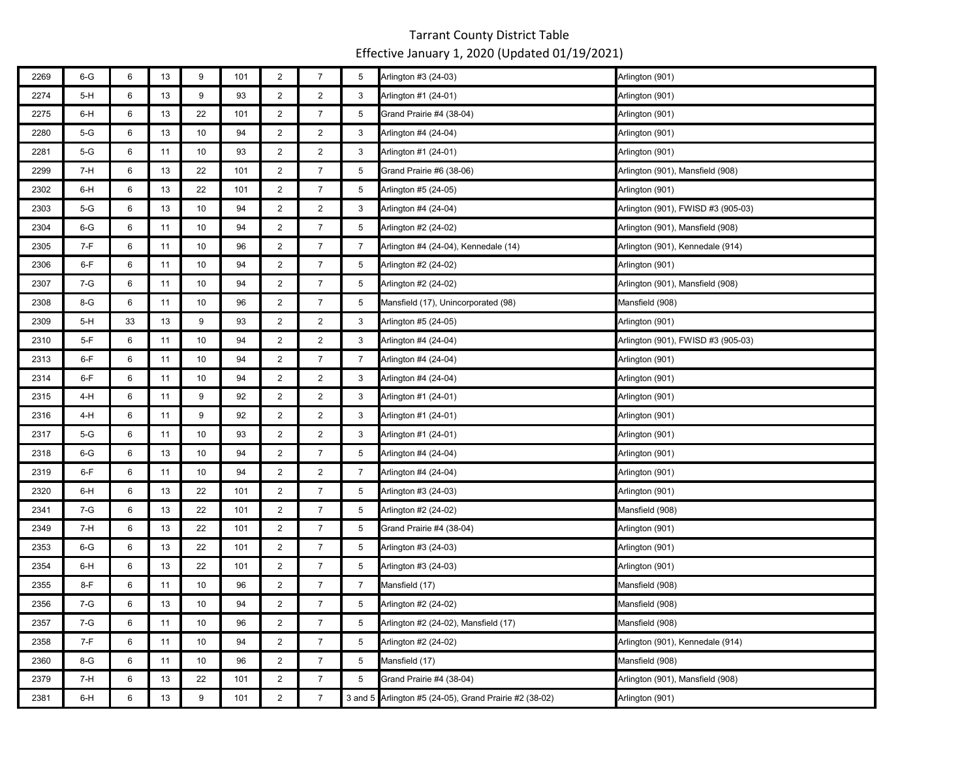| 2269 | $6-G$ | 6  | 13 | 9  | 101 | $\overline{c}$ | $\boldsymbol{7}$ | 5              | Arlington #3 (24-03)                                   | Arlington (901)                    |
|------|-------|----|----|----|-----|----------------|------------------|----------------|--------------------------------------------------------|------------------------------------|
| 2274 | 5-H   | 6  | 13 | 9  | 93  | $\overline{2}$ | $\overline{2}$   | 3              | Arlington #1 (24-01)                                   | Arlington (901)                    |
| 2275 | 6-H   | 6  | 13 | 22 | 101 | $\overline{2}$ | $\overline{7}$   | 5              | Grand Prairie #4 (38-04)                               | Arlington (901)                    |
| 2280 | $5-G$ | 6  | 13 | 10 | 94  | $\overline{2}$ | $\overline{2}$   | 3              | Arlington #4 (24-04)                                   | Arlington (901)                    |
| 2281 | 5-G   | 6  | 11 | 10 | 93  | $\overline{2}$ | $\overline{2}$   | 3              | Arlington #1 (24-01)                                   | Arlington (901)                    |
| 2299 | 7-H   | 6  | 13 | 22 | 101 | 2              | $\overline{7}$   | 5              | Grand Prairie #6 (38-06)                               | Arlington (901), Mansfield (908)   |
| 2302 | 6-H   | 6  | 13 | 22 | 101 | $\overline{2}$ | $\overline{7}$   | 5              | Arlington #5 (24-05)                                   | Arlington (901)                    |
| 2303 | $5-G$ | 6  | 13 | 10 | 94  | $\overline{2}$ | $\overline{2}$   | 3              | Arlington #4 (24-04)                                   | Arlington (901), FWISD #3 (905-03) |
| 2304 | $6-G$ | 6  | 11 | 10 | 94  | $\overline{2}$ | $\overline{7}$   | 5              | Arlington #2 (24-02)                                   | Arlington (901), Mansfield (908)   |
| 2305 | 7-F   | 6  | 11 | 10 | 96  | $\overline{2}$ | $\overline{7}$   | $\overline{7}$ | Arlington #4 (24-04), Kennedale (14)                   | Arlington (901), Kennedale (914)   |
| 2306 | 6-F   | 6  | 11 | 10 | 94  | $\overline{2}$ | $\overline{7}$   | 5              | Arlington #2 (24-02)                                   | Arlington (901)                    |
| 2307 | 7-G   | 6  | 11 | 10 | 94  | $\overline{2}$ | $\overline{7}$   | 5              | Arlington #2 (24-02)                                   | Arlington (901), Mansfield (908)   |
| 2308 | $8-G$ | 6  | 11 | 10 | 96  | $\overline{2}$ | $\overline{7}$   | 5              | Mansfield (17), Unincorporated (98)                    | Mansfield (908)                    |
| 2309 | $5-H$ | 33 | 13 | 9  | 93  | $\overline{2}$ | $\overline{2}$   | 3              | Arlington #5 (24-05)                                   | Arlington (901)                    |
| 2310 | $5-F$ | 6  | 11 | 10 | 94  | $\overline{2}$ | $\overline{2}$   | 3              | Arlington #4 (24-04)                                   | Arlington (901), FWISD #3 (905-03) |
| 2313 | 6-F   | 6  | 11 | 10 | 94  | $\overline{2}$ | $\overline{7}$   | 7              | Arlington #4 (24-04)                                   | Arlington (901)                    |
| 2314 | $6-F$ | 6  | 11 | 10 | 94  | $\overline{2}$ | $\overline{2}$   | 3              | Arlington #4 (24-04)                                   | Arlington (901)                    |
| 2315 | 4-H   | 6  | 11 | 9  | 92  | $\overline{2}$ | $\overline{2}$   | 3              | Arlington #1 (24-01)                                   | Arlington (901)                    |
| 2316 | 4-H   | 6  | 11 | 9  | 92  | $\overline{2}$ | $\overline{2}$   | 3              | Arlington #1 (24-01)                                   | Arlington (901)                    |
| 2317 | $5-G$ | 6  | 11 | 10 | 93  | $\overline{2}$ | $\overline{2}$   | 3              | Arlington #1 (24-01)                                   | Arlington (901)                    |
| 2318 | $6-G$ | 6  | 13 | 10 | 94  | $\overline{2}$ | $\overline{7}$   | 5              | Arlington #4 (24-04)                                   | Arlington (901)                    |
| 2319 | $6-F$ | 6  | 11 | 10 | 94  | $\overline{2}$ | $\overline{2}$   | $\overline{7}$ | Arlington #4 (24-04)                                   | Arlington (901)                    |
| 2320 | 6-H   | 6  | 13 | 22 | 101 | $\overline{c}$ | $\overline{7}$   | 5              | Arlington #3 (24-03)                                   | Arlington (901)                    |
| 2341 | 7-G   | 6  | 13 | 22 | 101 | $\overline{2}$ | $\overline{7}$   | 5              | Arlington #2 (24-02)                                   | Mansfield (908)                    |
| 2349 | 7-H   | 6  | 13 | 22 | 101 | $\overline{2}$ | $\overline{7}$   | 5              | Grand Prairie #4 (38-04)                               | Arlington (901)                    |
| 2353 | $6-G$ | 6  | 13 | 22 | 101 | $\overline{2}$ | $\overline{7}$   | 5              | Arlington #3 (24-03)                                   | Arlington (901)                    |
| 2354 | 6-H   | 6  | 13 | 22 | 101 | $\overline{2}$ | $\overline{7}$   | 5              | Arlington #3 (24-03)                                   | Arlington (901)                    |
| 2355 | 8-F   | 6  | 11 | 10 | 96  | $\overline{2}$ | $\overline{7}$   | $\overline{7}$ | Mansfield (17)                                         | Mansfield (908)                    |
| 2356 | 7-G   | 6  | 13 | 10 | 94  | $\overline{2}$ | $\overline{7}$   | 5              | Arlington #2 (24-02)                                   | Mansfield (908)                    |
| 2357 | 7-G   | 6  | 11 | 10 | 96  | $\overline{2}$ | $\overline{7}$   | 5              | Arlington #2 (24-02), Mansfield (17)                   | Mansfield (908)                    |
| 2358 | 7-F   | 6  | 11 | 10 | 94  | $\overline{2}$ | $\overline{7}$   | 5              | Arlington #2 (24-02)                                   | Arlington (901), Kennedale (914)   |
| 2360 | 8-G   | 6  | 11 | 10 | 96  | $\overline{2}$ | $\overline{7}$   | 5              | Mansfield (17)                                         | Mansfield (908)                    |
| 2379 | 7-H   | 6  | 13 | 22 | 101 | $\overline{2}$ | $\overline{7}$   | 5              | Grand Prairie #4 (38-04)                               | Arlington (901), Mansfield (908)   |
| 2381 | 6-H   | 6  | 13 | 9  | 101 | $\overline{2}$ | $\overline{7}$   |                | 3 and 5 Arlington #5 (24-05), Grand Prairie #2 (38-02) | Arlington (901)                    |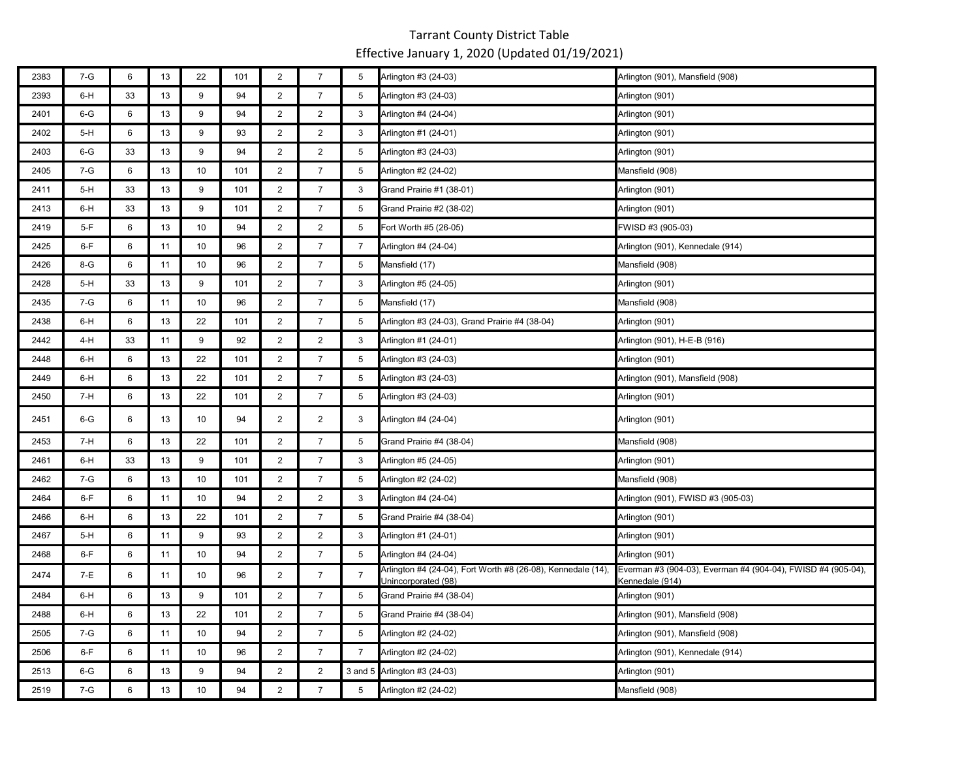| 2383 | $7-G$ | 6  | 13 | 22 | 101 | $\overline{2}$ | $\overline{7}$ | 5              | Arlington #3 (24-03)                                                                | Arlington (901), Mansfield (908)                                                |
|------|-------|----|----|----|-----|----------------|----------------|----------------|-------------------------------------------------------------------------------------|---------------------------------------------------------------------------------|
| 2393 | 6-H   | 33 | 13 | 9  | 94  | $\overline{2}$ | $\overline{7}$ | 5              | Arlington #3 (24-03)                                                                | Arlington (901)                                                                 |
| 2401 | $6-G$ | 6  | 13 | 9  | 94  | $\overline{2}$ | $\overline{2}$ | 3              | Arlington #4 (24-04)                                                                | Arlington (901)                                                                 |
| 2402 | $5-H$ | 6  | 13 | 9  | 93  | $\overline{2}$ | $\overline{2}$ | 3              | Arlington #1 (24-01)                                                                | Arlington (901)                                                                 |
| 2403 | $6-G$ | 33 | 13 | 9  | 94  | $\overline{2}$ | $\overline{2}$ | 5              | Arlington #3 (24-03)                                                                | Arlington (901)                                                                 |
| 2405 | $7-G$ | 6  | 13 | 10 | 101 | $\overline{2}$ | $\overline{7}$ | 5              | Arlington #2 (24-02)                                                                | Mansfield (908)                                                                 |
| 2411 | $5-H$ | 33 | 13 | 9  | 101 | $\overline{2}$ | $\overline{7}$ | 3              | Grand Prairie #1 (38-01)                                                            | Arlington (901)                                                                 |
| 2413 | $6-H$ | 33 | 13 | 9  | 101 | $\overline{2}$ | $\overline{7}$ | 5              | Grand Prairie #2 (38-02)                                                            | Arlington (901)                                                                 |
| 2419 | $5-F$ | 6  | 13 | 10 | 94  | $\overline{2}$ | $\overline{2}$ | 5              | Fort Worth #5 (26-05)                                                               | FWISD #3 (905-03)                                                               |
| 2425 | $6-F$ | 6  | 11 | 10 | 96  | $\overline{2}$ | $\overline{7}$ | $\overline{7}$ | Arlington #4 (24-04)                                                                | Arlington (901), Kennedale (914)                                                |
| 2426 | 8-G   | 6  | 11 | 10 | 96  | $\overline{2}$ | $\overline{7}$ | 5              | Mansfield (17)                                                                      | Mansfield (908)                                                                 |
| 2428 | $5-H$ | 33 | 13 | 9  | 101 | $\overline{2}$ | $\overline{7}$ | 3              | Arlington #5 (24-05)                                                                | Arlington (901)                                                                 |
| 2435 | 7-G   | 6  | 11 | 10 | 96  | $\overline{2}$ | $\overline{7}$ | 5              | Mansfield (17)                                                                      | Mansfield (908)                                                                 |
| 2438 | 6-H   | 6  | 13 | 22 | 101 | $\overline{2}$ | $\overline{7}$ | 5              | Arlington #3 (24-03), Grand Prairie #4 (38-04)                                      | Arlington (901)                                                                 |
| 2442 | 4-H   | 33 | 11 | 9  | 92  | $\overline{2}$ | $\overline{2}$ | 3              | Arlington #1 (24-01)                                                                | Arlington (901), H-E-B (916)                                                    |
| 2448 | 6-H   | 6  | 13 | 22 | 101 | $\overline{2}$ | $\overline{7}$ | 5              | Arlington #3 (24-03)                                                                | Arlington (901)                                                                 |
| 2449 | 6-H   | 6  | 13 | 22 | 101 | $\overline{2}$ | $\overline{7}$ | 5              | Arlington #3 (24-03)                                                                | Arlington (901), Mansfield (908)                                                |
| 2450 | 7-H   | 6  | 13 | 22 | 101 | $\overline{2}$ | $\overline{7}$ | 5              | Arlington #3 (24-03)                                                                | Arlington (901)                                                                 |
| 2451 | $6-G$ | 6  | 13 | 10 | 94  | $\overline{2}$ | $\overline{2}$ | 3              | Arlington #4 (24-04)                                                                | Arlington (901)                                                                 |
| 2453 | 7-H   | 6  | 13 | 22 | 101 | $\overline{2}$ | $\overline{7}$ | 5              | Grand Prairie #4 (38-04)                                                            | Mansfield (908)                                                                 |
| 2461 | 6-H   | 33 | 13 | 9  | 101 | $\overline{c}$ | $\overline{7}$ | 3              | Arlington #5 (24-05)                                                                | Arlington (901)                                                                 |
| 2462 | 7-G   | 6  | 13 | 10 | 101 | $\overline{2}$ | $\overline{7}$ | 5              | Arlington #2 (24-02)                                                                | Mansfield (908)                                                                 |
| 2464 | $6-F$ | 6  | 11 | 10 | 94  | $\overline{2}$ | $\overline{2}$ | 3              | Arlington #4 (24-04)                                                                | Arlington (901), FWISD #3 (905-03)                                              |
| 2466 | 6-H   | 6  | 13 | 22 | 101 | $\overline{2}$ | $\overline{7}$ | 5              | Grand Prairie #4 (38-04)                                                            | Arlington (901)                                                                 |
| 2467 | $5-H$ | 6  | 11 | 9  | 93  | $\overline{c}$ | $\overline{2}$ | 3              | Arlington #1 (24-01)                                                                | Arlington (901)                                                                 |
| 2468 | $6-F$ | 6  | 11 | 10 | 94  | $\overline{c}$ | $\overline{7}$ | 5              | Arlington #4 (24-04)                                                                | Arlington (901)                                                                 |
| 2474 | 7-E   | 6  | 11 | 10 | 96  | $\overline{2}$ | $\overline{7}$ | $\overline{7}$ | Arlington #4 (24-04), Fort Worth #8 (26-08), Kennedale (14),<br>Unincorporated (98) | Everman #3 (904-03), Everman #4 (904-04), FWISD #4 (905-04),<br>Kennedale (914) |
| 2484 | 6-H   | 6  | 13 | 9  | 101 | $\overline{2}$ | $\overline{7}$ | 5              | Grand Prairie #4 (38-04)                                                            | Arlington (901)                                                                 |
| 2488 | 6-H   | 6  | 13 | 22 | 101 | $\overline{2}$ | $\overline{7}$ | 5              | Grand Prairie #4 (38-04)                                                            | Arlington (901), Mansfield (908)                                                |
| 2505 | $7-G$ | 6  | 11 | 10 | 94  | $\overline{2}$ | $\overline{7}$ | 5              | Arlington #2 (24-02)                                                                | Arlington (901), Mansfield (908)                                                |
| 2506 | $6-F$ | 6  | 11 | 10 | 96  | $\overline{2}$ | $\overline{7}$ | $\overline{7}$ | Arlington #2 (24-02)                                                                | Arlington (901), Kennedale (914)                                                |
| 2513 | $6-G$ | 6  | 13 | 9  | 94  | $\overline{2}$ | $\overline{2}$ |                | 3 and 5 Arlington #3 (24-03)                                                        | Arlington (901)                                                                 |
| 2519 | $7-G$ | 6  | 13 | 10 | 94  | $\overline{2}$ | $\overline{7}$ | 5              | Arlington #2 (24-02)                                                                | Mansfield (908)                                                                 |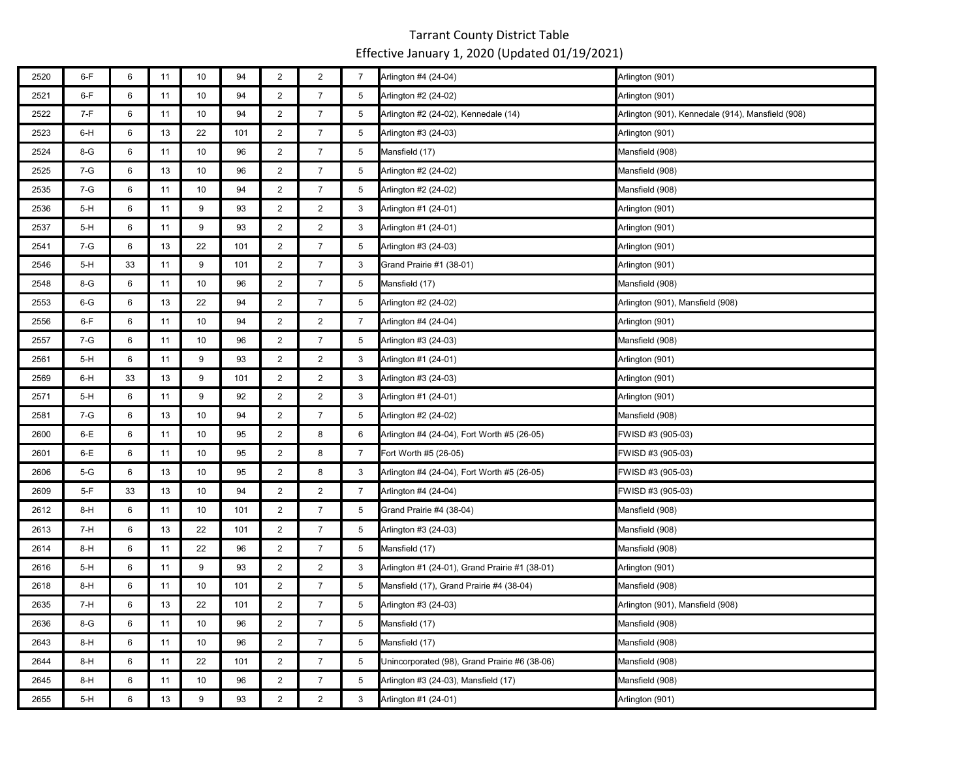| 2520 | $6-F$   | 6  | 11 | 10 | 94  | $\overline{c}$ | $\overline{2}$ | $\overline{7}$ | Arlington #4 (24-04)                           | Arlington (901)                                   |
|------|---------|----|----|----|-----|----------------|----------------|----------------|------------------------------------------------|---------------------------------------------------|
| 2521 | $6-F$   | 6  | 11 | 10 | 94  | $\overline{2}$ | $\overline{7}$ | 5              | Arlington #2 (24-02)                           | Arlington (901)                                   |
| 2522 | 7-F     | 6  | 11 | 10 | 94  | $\overline{2}$ | $\overline{7}$ | 5              | Arlington #2 (24-02), Kennedale (14)           | Arlington (901), Kennedale (914), Mansfield (908) |
| 2523 | $6-H$   | 6  | 13 | 22 | 101 | $\overline{2}$ | $\overline{7}$ | 5              | Arlington #3 (24-03)                           | Arlington (901)                                   |
| 2524 | 8-G     | 6  | 11 | 10 | 96  | $\overline{2}$ | $\overline{7}$ | 5              | Mansfield (17)                                 | Mansfield (908)                                   |
| 2525 | $7 - G$ | 6  | 13 | 10 | 96  | 2              | $\overline{7}$ | 5              | Arlington #2 (24-02)                           | Mansfield (908)                                   |
| 2535 | 7-G     | 6  | 11 | 10 | 94  | $\overline{2}$ | $\overline{7}$ | 5              | Arlington #2 (24-02)                           | Mansfield (908)                                   |
| 2536 | $5-H$   | 6  | 11 | 9  | 93  | $\overline{2}$ | $\overline{2}$ | 3              | Arlington #1 (24-01)                           | Arlington (901)                                   |
| 2537 | $5-H$   | 6  | 11 | 9  | 93  | $\overline{2}$ | $\overline{2}$ | 3              | Arlington #1 (24-01)                           | Arlington (901)                                   |
| 2541 | 7-G     | 6  | 13 | 22 | 101 | $\overline{2}$ | $\overline{7}$ | 5              | Arlington #3 (24-03)                           | Arlington (901)                                   |
| 2546 | $5-H$   | 33 | 11 | 9  | 101 | $\overline{2}$ | $\overline{7}$ | 3              | Grand Prairie #1 (38-01)                       | Arlington (901)                                   |
| 2548 | $8-G$   | 6  | 11 | 10 | 96  | $\overline{2}$ | $\overline{7}$ | 5              | Mansfield (17)                                 | Mansfield (908)                                   |
| 2553 | $6 - G$ | 6  | 13 | 22 | 94  | $\overline{2}$ | $\overline{7}$ | 5              | Arlington #2 (24-02)                           | Arlington (901), Mansfield (908)                  |
| 2556 | $6-F$   | 6  | 11 | 10 | 94  | $\overline{2}$ | $\overline{2}$ | $\overline{7}$ | Arlington #4 (24-04)                           | Arlington (901)                                   |
| 2557 | $7 - G$ | 6  | 11 | 10 | 96  | $\overline{2}$ | $\overline{7}$ | 5              | Arlington #3 (24-03)                           | Mansfield (908)                                   |
| 2561 | $5-H$   | 6  | 11 | 9  | 93  | $\overline{2}$ | $\overline{2}$ | 3              | Arlington #1 (24-01)                           | Arlington (901)                                   |
| 2569 | $6-H$   | 33 | 13 | 9  | 101 | $\overline{2}$ | $\overline{2}$ | 3              | Arlington #3 (24-03)                           | Arlington (901)                                   |
| 2571 | $5-H$   | 6  | 11 | 9  | 92  | $\overline{2}$ | $\overline{2}$ | 3              | Arlington #1 (24-01)                           | Arlington (901)                                   |
| 2581 | $7 - G$ | 6  | 13 | 10 | 94  | $\overline{2}$ | $\overline{7}$ | 5              | Arlington #2 (24-02)                           | Mansfield (908)                                   |
| 2600 | $6-E$   | 6  | 11 | 10 | 95  | $\overline{2}$ | 8              | 6              | Arlington #4 (24-04), Fort Worth #5 (26-05)    | FWISD #3 (905-03)                                 |
| 2601 | $6-E$   | 6  | 11 | 10 | 95  | $\overline{2}$ | 8              | 7              | Fort Worth #5 (26-05)                          | FWISD #3 (905-03)                                 |
| 2606 | $5-G$   | 6  | 13 | 10 | 95  | $\overline{2}$ | 8              | 3              | Arlington #4 (24-04), Fort Worth #5 (26-05)    | FWISD #3 (905-03)                                 |
| 2609 | 5-F     | 33 | 13 | 10 | 94  | $\overline{c}$ | $\overline{c}$ | $\overline{7}$ | Arlington #4 (24-04)                           | FWISD #3 (905-03)                                 |
| 2612 | $8-H$   | 6  | 11 | 10 | 101 | $\overline{2}$ | $\overline{7}$ | 5              | Grand Prairie #4 (38-04)                       | Mansfield (908)                                   |
| 2613 | 7-H     | 6  | 13 | 22 | 101 | $\overline{2}$ | $\overline{7}$ | 5              | Arlington #3 (24-03)                           | Mansfield (908)                                   |
| 2614 | 8-H     | 6  | 11 | 22 | 96  | $\overline{2}$ | $\overline{7}$ | 5              | Mansfield (17)                                 | Mansfield (908)                                   |
| 2616 | $5-H$   | 6  | 11 | 9  | 93  | $\overline{2}$ | $\overline{2}$ | 3              | Arlington #1 (24-01), Grand Prairie #1 (38-01) | Arlington (901)                                   |
| 2618 | $8-H$   | 6  | 11 | 10 | 101 | $\overline{c}$ | $\overline{7}$ | 5              | Mansfield (17), Grand Prairie #4 (38-04)       | Mansfield (908)                                   |
| 2635 | 7-H     | 6  | 13 | 22 | 101 | $\overline{2}$ | $\overline{7}$ | 5              | Arlington #3 (24-03)                           | Arlington (901), Mansfield (908)                  |
| 2636 | 8-G     | 6  | 11 | 10 | 96  | $\overline{2}$ | $\overline{7}$ | 5              | Mansfield (17)                                 | Mansfield (908)                                   |
| 2643 | $8-H$   | 6  | 11 | 10 | 96  | $\overline{2}$ | $\overline{7}$ | 5              | Mansfield (17)                                 | Mansfield (908)                                   |
| 2644 | $8-H$   | 6  | 11 | 22 | 101 | $\overline{2}$ | $\overline{7}$ | 5              | Unincorporated (98), Grand Prairie #6 (38-06)  | Mansfield (908)                                   |
| 2645 | $8-H$   | 6  | 11 | 10 | 96  | $\overline{2}$ | $\overline{7}$ | 5              | Arlington #3 (24-03), Mansfield (17)           | Mansfield (908)                                   |
| 2655 | $5-H$   | 6  | 13 | 9  | 93  | $\overline{2}$ | $\overline{2}$ | 3              | Arlington #1 (24-01)                           | Arlington (901)                                   |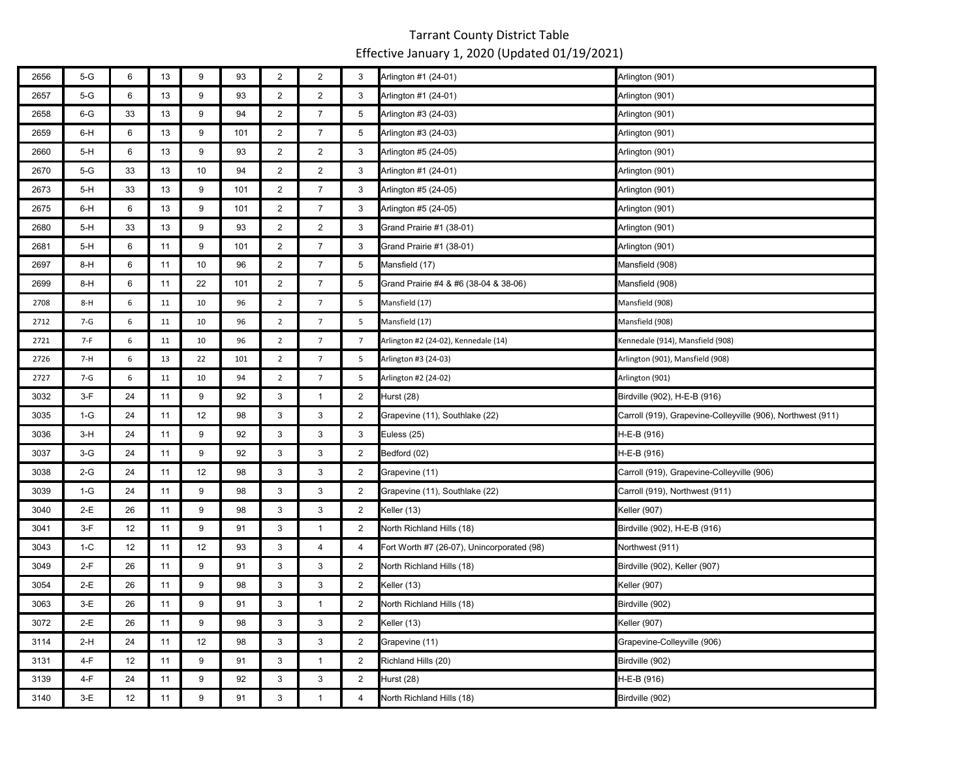| 2656 | $5-G$   | 6  | 13 | 9  | 93  | $\overline{2}$ | $\overline{2}$  | 3              | Arlington #1 (24-01)                       | Arlington (901)                                             |
|------|---------|----|----|----|-----|----------------|-----------------|----------------|--------------------------------------------|-------------------------------------------------------------|
| 2657 | $5-G$   | 6  | 13 | 9  | 93  | $\overline{2}$ | $\overline{2}$  | 3              | Arlington #1 (24-01)                       | Arlington (901)                                             |
| 2658 | $6-G$   | 33 | 13 | 9  | 94  | $\overline{2}$ | $\overline{7}$  | 5              | Arlington #3 (24-03)                       | Arlington (901)                                             |
| 2659 | $6-H$   | 6  | 13 | 9  | 101 | $\overline{2}$ | $\overline{7}$  | 5              | Arlington #3 (24-03)                       | Arlington (901)                                             |
| 2660 | $5-H$   | 6  | 13 | 9  | 93  | $\overline{2}$ | $\overline{2}$  | 3              | Arlington #5 (24-05)                       | Arlington (901)                                             |
| 2670 | $5-G$   | 33 | 13 | 10 | 94  | $\overline{2}$ | 2               | 3              | Arlington #1 (24-01)                       | Arlington (901)                                             |
| 2673 | 5-H     | 33 | 13 | 9  | 101 | $\overline{2}$ | $\overline{7}$  | 3              | Arlington #5 (24-05)                       | Arlington (901)                                             |
| 2675 | $6-H$   | 6  | 13 | 9  | 101 | $\overline{2}$ | $\overline{7}$  | 3              | Arlington #5 (24-05)                       | Arlington (901)                                             |
| 2680 | $5-H$   | 33 | 13 | 9  | 93  | $\overline{2}$ | $\overline{2}$  | 3              | Grand Prairie #1 (38-01)                   | Arlington (901)                                             |
| 2681 | $5-H$   | 6  | 11 | 9  | 101 | $\overline{2}$ | $\overline{7}$  | 3              | Grand Prairie #1 (38-01)                   | Arlington (901)                                             |
| 2697 | $8-H$   | 6  | 11 | 10 | 96  | $\overline{2}$ | $\overline{7}$  | 5              | Mansfield (17)                             | Mansfield (908)                                             |
| 2699 | $8-H$   | 6  | 11 | 22 | 101 | $\overline{2}$ | $\overline{7}$  | 5              | Grand Prairie #4 & #6 (38-04 & 38-06)      | Mansfield (908)                                             |
| 2708 | $8-H$   | 6  | 11 | 10 | 96  | $\overline{2}$ | $7\overline{ }$ | 5              | Mansfield (17)                             | Mansfield (908)                                             |
| 2712 | $7-G$   | 6  | 11 | 10 | 96  | $\overline{2}$ | $\overline{7}$  | 5              | Mansfield (17)                             | Mansfield (908)                                             |
| 2721 | $7-F$   | 6  | 11 | 10 | 96  | $\overline{2}$ | $\overline{7}$  | $\overline{7}$ | Arlington #2 (24-02), Kennedale (14)       | Kennedale (914), Mansfield (908)                            |
| 2726 | $7-H$   | 6  | 13 | 22 | 101 | $\overline{2}$ | $\overline{7}$  | 5              | Arlington #3 (24-03)                       | Arlington (901), Mansfield (908)                            |
| 2727 | $7 - G$ | 6  | 11 | 10 | 94  | $\overline{2}$ | $\overline{7}$  | 5              | Arlington #2 (24-02)                       | Arlington (901)                                             |
| 3032 | $3-F$   | 24 | 11 | 9  | 92  | $\mathbf{3}$   | $\mathbf{1}$    | $\overline{2}$ | Hurst (28)                                 | Birdville (902), H-E-B (916)                                |
| 3035 | $1-G$   | 24 | 11 | 12 | 98  | 3              | 3               | $\overline{2}$ | Grapevine (11), Southlake (22)             | Carroll (919), Grapevine-Colleyville (906), Northwest (911) |
| 3036 | $3-H$   | 24 | 11 | 9  | 92  | 3              | 3               | 3              | Euless (25)                                | H-E-B (916)                                                 |
| 3037 | $3-G$   | 24 | 11 | 9  | 92  | $\mathbf{3}$   | 3               | $\overline{2}$ | Bedford (02)                               | H-E-B (916)                                                 |
| 3038 | $2-G$   | 24 | 11 | 12 | 98  | 3              | 3               | 2              | Grapevine (11)                             | Carroll (919), Grapevine-Colleyville (906)                  |
| 3039 | $1-G$   | 24 | 11 | 9  | 98  | 3              | 3               | 2              | Grapevine (11), Southlake (22)             | Carroll (919), Northwest (911)                              |
| 3040 | 2-E     | 26 | 11 | 9  | 98  | 3              | 3               | $\overline{2}$ | Keller (13)                                | Keller (907)                                                |
| 3041 | $3-F$   | 12 | 11 | 9  | 91  | 3              | $\mathbf{1}$    | $\overline{2}$ | North Richland Hills (18)                  | Birdville (902), H-E-B (916)                                |
| 3043 | $1-C$   | 12 | 11 | 12 | 93  | 3              | 4               | $\overline{4}$ | Fort Worth #7 (26-07), Unincorporated (98) | Northwest (911)                                             |
| 3049 | $2-F$   | 26 | 11 | 9  | 91  | 3              | 3               | $\overline{2}$ | North Richland Hills (18)                  | Birdville (902), Keller (907)                               |
| 3054 | $2-E$   | 26 | 11 | 9  | 98  | 3              | $\mathbf{3}$    | $\overline{2}$ | Keller (13)                                | Keller (907)                                                |
| 3063 | $3-E$   | 26 | 11 | 9  | 91  | 3              | $\mathbf{1}$    | $\overline{2}$ | North Richland Hills (18)                  | Birdville (902)                                             |
| 3072 | $2-E$   | 26 | 11 | 9  | 98  | 3              | 3               | $\overline{2}$ | Keller (13)                                | Keller (907)                                                |
| 3114 | $2-H$   | 24 | 11 | 12 | 98  | 3              | 3               | $\overline{2}$ | Grapevine (11)                             | Grapevine-Colleyville (906)                                 |
| 3131 | $4-F$   | 12 | 11 | 9  | 91  | 3              | $\mathbf{1}$    | $\overline{2}$ | Richland Hills (20)                        | Birdville (902)                                             |
| 3139 | $4-F$   | 24 | 11 | 9  | 92  | 3              | 3               | 2              | Hurst (28)                                 | H-E-B (916)                                                 |
| 3140 | $3-E$   | 12 | 11 | 9  | 91  | 3              | $\mathbf{1}$    | $\overline{4}$ | North Richland Hills (18)                  | Birdville (902)                                             |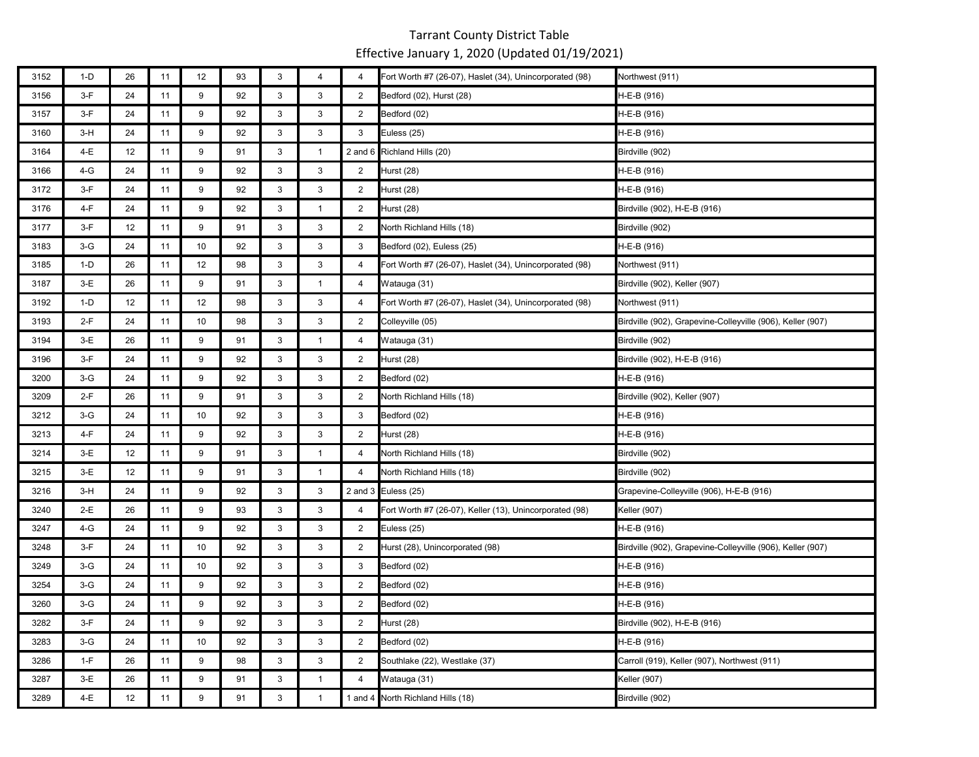| 3152 | $1-D$ | 26 | 11 | 12 | 93 | 3            | $\overline{4}$ | $\overline{4}$ | Fort Worth #7 (26-07), Haslet (34), Unincorporated (98) | Northwest (911)                                            |
|------|-------|----|----|----|----|--------------|----------------|----------------|---------------------------------------------------------|------------------------------------------------------------|
| 3156 | $3-F$ | 24 | 11 | 9  | 92 | 3            | 3              | $\overline{2}$ | Bedford (02), Hurst (28)                                | H-E-B (916)                                                |
| 3157 | $3-F$ | 24 | 11 | 9  | 92 | 3            | 3              | $\overline{2}$ | Bedford (02)                                            | H-E-B (916)                                                |
| 3160 | $3-H$ | 24 | 11 | 9  | 92 | 3            | 3              | 3              | Euless (25)                                             | H-E-B (916)                                                |
| 3164 | 4-E   | 12 | 11 | 9  | 91 | 3            | $\mathbf{1}$   |                | 2 and 6 Richland Hills (20)                             | Birdville (902)                                            |
| 3166 | 4-G   | 24 | 11 | 9  | 92 | 3            | 3              | $\overline{2}$ | Hurst (28)                                              | H-E-B (916)                                                |
| 3172 | $3-F$ | 24 | 11 | 9  | 92 | 3            | 3              | 2              | Hurst (28)                                              | H-E-B (916)                                                |
| 3176 | 4-F   | 24 | 11 | 9  | 92 | $\mathbf{3}$ | $\mathbf{1}$   | $\overline{2}$ | Hurst (28)                                              | Birdville (902), H-E-B (916)                               |
| 3177 | $3-F$ | 12 | 11 | 9  | 91 | 3            | 3              | $\overline{2}$ | North Richland Hills (18)                               | Birdville (902)                                            |
| 3183 | $3-G$ | 24 | 11 | 10 | 92 | 3            | 3              | 3              | Bedford (02), Euless (25)                               | H-E-B (916)                                                |
| 3185 | $1-D$ | 26 | 11 | 12 | 98 | 3            | 3              | 4              | Fort Worth #7 (26-07), Haslet (34), Unincorporated (98) | Northwest (911)                                            |
| 3187 | $3-E$ | 26 | 11 | 9  | 91 | 3            | $\mathbf{1}$   | $\overline{4}$ | Watauga (31)                                            | Birdville (902), Keller (907)                              |
| 3192 | $1-D$ | 12 | 11 | 12 | 98 | 3            | 3              | 4              | Fort Worth #7 (26-07), Haslet (34), Unincorporated (98) | Northwest (911)                                            |
| 3193 | $2-F$ | 24 | 11 | 10 | 98 | 3            | 3              | $\overline{2}$ | Colleyville (05)                                        | Birdville (902), Grapevine-Colleyville (906), Keller (907) |
| 3194 | $3-E$ | 26 | 11 | 9  | 91 | 3            | $\mathbf{1}$   | $\overline{4}$ | Watauga (31)                                            | Birdville (902)                                            |
| 3196 | $3-F$ | 24 | 11 | 9  | 92 | 3            | 3              | $\overline{2}$ | Hurst (28)                                              | Birdville (902), H-E-B (916)                               |
| 3200 | $3-G$ | 24 | 11 | 9  | 92 | 3            | 3              | 2              | Bedford (02)                                            | H-E-B (916)                                                |
| 3209 | $2-F$ | 26 | 11 | 9  | 91 | 3            | 3              | $\overline{2}$ | North Richland Hills (18)                               | Birdville (902), Keller (907)                              |
| 3212 | $3-G$ | 24 | 11 | 10 | 92 | 3            | 3              | 3              | Bedford (02)                                            | H-E-B (916)                                                |
| 3213 | $4-F$ | 24 | 11 | 9  | 92 | 3            | $\mathbf{3}$   | $\overline{2}$ | Hurst (28)                                              | H-E-B (916)                                                |
| 3214 | $3-E$ | 12 | 11 | 9  | 91 | 3            | $\mathbf{1}$   | $\overline{4}$ | North Richland Hills (18)                               | Birdville (902)                                            |
| 3215 | $3-E$ | 12 | 11 | 9  | 91 | 3            | $\mathbf{1}$   | $\overline{4}$ | North Richland Hills (18)                               | Birdville (902)                                            |
| 3216 | $3-H$ | 24 | 11 | 9  | 92 | 3            | $\mathbf{3}$   |                | 2 and 3 Euless (25)                                     | Grapevine-Colleyville (906), H-E-B (916)                   |
| 3240 | 2-E   | 26 | 11 | 9  | 93 | 3            | 3              | $\overline{4}$ | Fort Worth #7 (26-07), Keller (13), Unincorporated (98) | Keller (907)                                               |
| 3247 | 4-G   | 24 | 11 | 9  | 92 | 3            | 3              | $\overline{2}$ | Euless (25)                                             | H-E-B (916)                                                |
| 3248 | $3-F$ | 24 | 11 | 10 | 92 | 3            | 3              | $\overline{2}$ | Hurst (28), Unincorporated (98)                         | Birdville (902), Grapevine-Colleyville (906), Keller (907) |
| 3249 | $3-G$ | 24 | 11 | 10 | 92 | 3            | 3              | 3              | Bedford (02)                                            | H-E-B (916)                                                |
| 3254 | $3-G$ | 24 | 11 | 9  | 92 | 3            | 3              | 2              | Bedford (02)                                            | H-E-B (916)                                                |
| 3260 | $3-G$ | 24 | 11 | 9  | 92 | 3            | 3              | $\overline{2}$ | Bedford (02)                                            | H-E-B (916)                                                |
| 3282 | $3-F$ | 24 | 11 | 9  | 92 | 3            | 3              | $\overline{2}$ | Hurst (28)                                              | Birdville (902), H-E-B (916)                               |
| 3283 | $3-G$ | 24 | 11 | 10 | 92 | 3            | 3              | $\overline{2}$ | Bedford (02)                                            | H-E-B (916)                                                |
| 3286 | $1-F$ | 26 | 11 | 9  | 98 | 3            | 3              | $\overline{2}$ | Southlake (22), Westlake (37)                           | Carroll (919), Keller (907), Northwest (911)               |
| 3287 | $3-E$ | 26 | 11 | 9  | 91 | 3            | $\mathbf{1}$   | $\overline{4}$ | Watauga (31)                                            | Keller (907)                                               |
| 3289 | 4-E   | 12 | 11 | 9  | 91 | 3            | $\mathbf{1}$   |                | 1 and 4 North Richland Hills (18)                       | Birdville (902)                                            |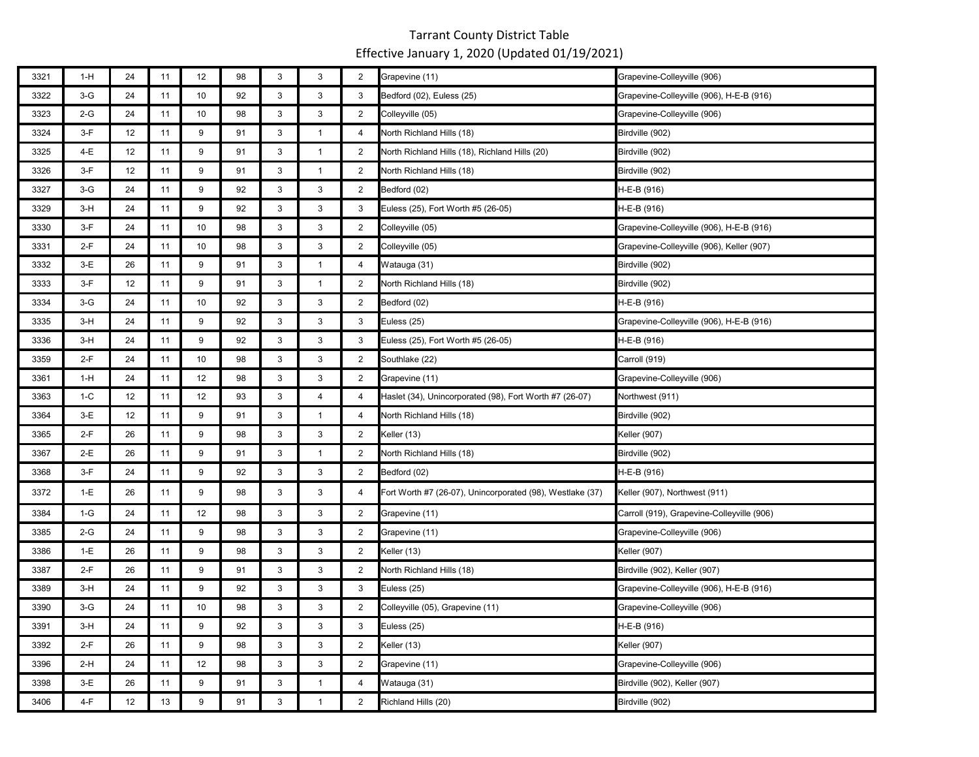| 3321 | $1-H$ | 24 | 11 | 12 | 98 | 3            | 3              | $\overline{2}$ | Grapevine (11)                                            | Grapevine-Colleyville (906)                |
|------|-------|----|----|----|----|--------------|----------------|----------------|-----------------------------------------------------------|--------------------------------------------|
| 3322 | $3-G$ | 24 | 11 | 10 | 92 | $\mathbf{3}$ | 3              | 3              | Bedford (02), Euless (25)                                 | Grapevine-Colleyville (906), H-E-B (916)   |
| 3323 | 2-G   | 24 | 11 | 10 | 98 | $\mathbf{3}$ | 3              | $\overline{2}$ | Colleyville (05)                                          | Grapevine-Colleyville (906)                |
| 3324 | $3-F$ | 12 | 11 | 9  | 91 | 3            | $\mathbf{1}$   | 4              | North Richland Hills (18)                                 | Birdville (902)                            |
| 3325 | 4-E   | 12 | 11 | 9  | 91 | 3            | $\mathbf{1}$   | $\overline{2}$ | North Richland Hills (18), Richland Hills (20)            | Birdville (902)                            |
| 3326 | $3-F$ | 12 | 11 | 9  | 91 | 3            | $\mathbf{1}$   | $\overline{2}$ | North Richland Hills (18)                                 | Birdville (902)                            |
| 3327 | $3-G$ | 24 | 11 | 9  | 92 | 3            | 3              | $\overline{2}$ | Bedford (02)                                              | H-E-B (916)                                |
| 3329 | 3-H   | 24 | 11 | 9  | 92 | 3            | 3              | 3              | Euless (25), Fort Worth #5 (26-05)                        | H-E-B (916)                                |
| 3330 | 3-F   | 24 | 11 | 10 | 98 | 3            | 3              | $\overline{2}$ | Colleyville (05)                                          | Grapevine-Colleyville (906), H-E-B (916)   |
| 3331 | 2-F   | 24 | 11 | 10 | 98 | 3            | 3              | 2              | Colleyville (05)                                          | Grapevine-Colleyville (906), Keller (907)  |
| 3332 | $3-E$ | 26 | 11 | 9  | 91 | 3            | $\mathbf{1}$   | 4              | Watauga (31)                                              | Birdville (902)                            |
| 3333 | $3-F$ | 12 | 11 | 9  | 91 | 3            | $\mathbf{1}$   | $\overline{2}$ | North Richland Hills (18)                                 | Birdville (902)                            |
| 3334 | $3-G$ | 24 | 11 | 10 | 92 | 3            | 3              | $\overline{2}$ | Bedford (02)                                              | H-E-B (916)                                |
| 3335 | $3-H$ | 24 | 11 | 9  | 92 | $\mathbf{3}$ | 3              | 3              | Euless (25)                                               | Grapevine-Colleyville (906), H-E-B (916)   |
| 3336 | $3-H$ | 24 | 11 | 9  | 92 | $\mathbf{3}$ | 3              | 3              | Euless (25), Fort Worth #5 (26-05)                        | H-E-B (916)                                |
| 3359 | $2-F$ | 24 | 11 | 10 | 98 | 3            | 3              | $\overline{2}$ | Southlake (22)                                            | Carroll (919)                              |
| 3361 | $1-H$ | 24 | 11 | 12 | 98 | 3            | 3              | $\overline{2}$ | Grapevine (11)                                            | Grapevine-Colleyville (906)                |
| 3363 | $1-C$ | 12 | 11 | 12 | 93 | 3            | $\overline{4}$ | 4              | Haslet (34), Unincorporated (98), Fort Worth #7 (26-07)   | Northwest (911)                            |
| 3364 | $3-E$ | 12 | 11 | 9  | 91 | 3            | $\mathbf{1}$   | 4              | North Richland Hills (18)                                 | Birdville (902)                            |
| 3365 | $2-F$ | 26 | 11 | 9  | 98 | 3            | 3              | $\overline{2}$ | Keller (13)                                               | Keller (907)                               |
| 3367 | 2-E   | 26 | 11 | 9  | 91 | 3            | $\mathbf{1}$   | 2              | North Richland Hills (18)                                 | Birdville (902)                            |
| 3368 | $3-F$ | 24 | 11 | 9  | 92 | 3            | 3              | $\overline{2}$ | Bedford (02)                                              | H-E-B (916)                                |
| 3372 | $1-E$ | 26 | 11 | 9  | 98 | 3            | 3              | 4              | Fort Worth #7 (26-07), Unincorporated (98), Westlake (37) | Keller (907), Northwest (911)              |
| 3384 | $1-G$ | 24 | 11 | 12 | 98 | 3            | 3              | $\overline{2}$ | Grapevine (11)                                            | Carroll (919), Grapevine-Colleyville (906) |
| 3385 | 2-G   | 24 | 11 | 9  | 98 | 3            | 3              | $\overline{2}$ | Grapevine (11)                                            | Grapevine-Colleyville (906)                |
| 3386 | $1-E$ | 26 | 11 | 9  | 98 | 3            | 3              | $\overline{2}$ | Keller (13)                                               | <b>Keller</b> (907)                        |
| 3387 | $2-F$ | 26 | 11 | 9  | 91 | 3            | 3              | $\overline{2}$ | North Richland Hills (18)                                 | Birdville (902), Keller (907)              |
| 3389 | $3-H$ | 24 | 11 | 9  | 92 | 3            | 3              | 3              | Euless (25)                                               | Grapevine-Colleyville (906), H-E-B (916)   |
| 3390 | $3-G$ | 24 | 11 | 10 | 98 | 3            | 3              | $\overline{2}$ | Colleyville (05), Grapevine (11)                          | Grapevine-Colleyville (906)                |
| 3391 | $3-H$ | 24 | 11 | 9  | 92 | 3            | 3              | 3              | Euless (25)                                               | H-E-B (916)                                |
| 3392 | $2-F$ | 26 | 11 | 9  | 98 | 3            | 3              | $\overline{2}$ | Keller (13)                                               | Keller (907)                               |
| 3396 | $2-H$ | 24 | 11 | 12 | 98 | 3            | 3              | $\overline{2}$ | Grapevine (11)                                            | Grapevine-Colleyville (906)                |
| 3398 | $3-E$ | 26 | 11 | 9  | 91 | 3            | $\mathbf{1}$   | 4              | Watauga (31)                                              | Birdville (902), Keller (907)              |
| 3406 | $4-F$ | 12 | 13 | 9  | 91 | 3            | $\mathbf{1}$   | $\overline{2}$ | Richland Hills (20)                                       | Birdville (902)                            |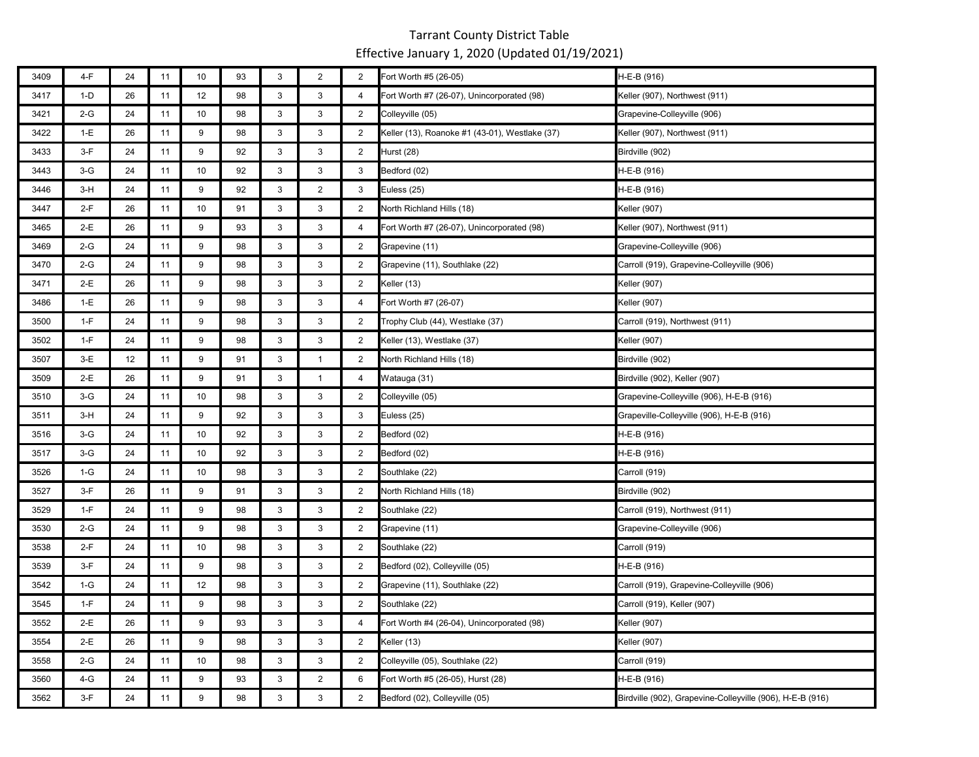| 3409 | 4-F   | 24 | 11 | 10 | 93 | $\mathsf 3$               | $\overline{2}$ | $\overline{2}$ | Fort Worth #5 (26-05)                          | H-E-B (916)                                               |
|------|-------|----|----|----|----|---------------------------|----------------|----------------|------------------------------------------------|-----------------------------------------------------------|
| 3417 | $1-D$ | 26 | 11 | 12 | 98 | 3                         | 3              | $\overline{4}$ | Fort Worth #7 (26-07), Unincorporated (98)     | Keller (907), Northwest (911)                             |
| 3421 | $2-G$ | 24 | 11 | 10 | 98 | 3                         | 3              | 2              | Colleyville (05)                               | Grapevine-Colleyville (906)                               |
| 3422 | $1-E$ | 26 | 11 | 9  | 98 | 3                         | 3              | $\overline{2}$ | Keller (13), Roanoke #1 (43-01), Westlake (37) | Keller (907), Northwest (911)                             |
| 3433 | $3-F$ | 24 | 11 | 9  | 92 | 3                         | 3              | 2              | Hurst (28)                                     | Birdville (902)                                           |
| 3443 | $3-G$ | 24 | 11 | 10 | 92 | $\mathsf 3$               | $\mathsf 3$    | 3              | Bedford (02)                                   | H-E-B (916)                                               |
| 3446 | $3-H$ | 24 | 11 | 9  | 92 | 3                         | $\overline{2}$ | 3              | Euless (25)                                    | H-E-B (916)                                               |
| 3447 | $2-F$ | 26 | 11 | 10 | 91 | 3                         | 3              | $\overline{2}$ | North Richland Hills (18)                      | <b>Keller (907)</b>                                       |
| 3465 | $2-E$ | 26 | 11 | 9  | 93 | $\mathbf{3}$              | $\mathsf 3$    | $\overline{4}$ | Fort Worth #7 (26-07), Unincorporated (98)     | Keller (907), Northwest (911)                             |
| 3469 | $2-G$ | 24 | 11 | 9  | 98 | 3                         | 3              | $\overline{2}$ | Grapevine (11)                                 | Grapevine-Colleyville (906)                               |
| 3470 | $2-G$ | 24 | 11 | 9  | 98 | 3                         | 3              | $\overline{2}$ | Grapevine (11), Southlake (22)                 | Carroll (919), Grapevine-Colleyville (906)                |
| 3471 | $2-E$ | 26 | 11 | 9  | 98 | 3                         | 3              | $\overline{2}$ | Keller (13)                                    | Keller (907)                                              |
| 3486 | $1-E$ | 26 | 11 | 9  | 98 | 3                         | 3              | $\overline{4}$ | Fort Worth #7 (26-07)                          | Keller (907)                                              |
| 3500 | $1-F$ | 24 | 11 | 9  | 98 | 3                         | 3              | $\overline{2}$ | Trophy Club (44), Westlake (37)                | Carroll (919), Northwest (911)                            |
| 3502 | $1-F$ | 24 | 11 | 9  | 98 | 3                         | 3              | 2              | Keller (13), Westlake (37)                     | Keller (907)                                              |
| 3507 | $3-E$ | 12 | 11 | 9  | 91 | 3                         | $\mathbf{1}$   | 2              | North Richland Hills (18)                      | Birdville (902)                                           |
| 3509 | $2-E$ | 26 | 11 | 9  | 91 | $\ensuremath{\mathsf{3}}$ | $\mathbf{1}$   | $\overline{4}$ | Watauga (31)                                   | Birdville (902), Keller (907)                             |
| 3510 | $3-G$ | 24 | 11 | 10 | 98 | 3                         | 3              | $\overline{2}$ | Colleyville (05)                               | Grapevine-Colleyville (906), H-E-B (916)                  |
| 3511 | $3-H$ | 24 | 11 | 9  | 92 | 3                         | 3              | 3              | Euless (25)                                    | Grapeville-Colleyville (906), H-E-B (916)                 |
| 3516 | $3-G$ | 24 | 11 | 10 | 92 | 3                         | 3              | $\overline{2}$ | Bedford (02)                                   | H-E-B (916)                                               |
| 3517 | $3-G$ | 24 | 11 | 10 | 92 | 3                         | 3              | $\overline{2}$ | Bedford (02)                                   | H-E-B (916)                                               |
| 3526 | $1-G$ | 24 | 11 | 10 | 98 | $\ensuremath{\mathsf{3}}$ | $\mathsf 3$    | $\overline{2}$ | Southlake (22)                                 | Carroll (919)                                             |
| 3527 | $3-F$ | 26 | 11 | 9  | 91 | 3                         | 3              | 2              | North Richland Hills (18)                      | Birdville (902)                                           |
| 3529 | $1-F$ | 24 | 11 | 9  | 98 | 3                         | $\mathbf{3}$   | $\overline{2}$ | Southlake (22)                                 | Carroll (919), Northwest (911)                            |
| 3530 | $2-G$ | 24 | 11 | 9  | 98 | $\mathsf 3$               | $\mathsf 3$    | $\overline{2}$ | Grapevine (11)                                 | Grapevine-Colleyville (906)                               |
| 3538 | $2-F$ | 24 | 11 | 10 | 98 | 3                         | 3              | 2              | Southlake (22)                                 | Carroll (919)                                             |
| 3539 | $3-F$ | 24 | 11 | 9  | 98 | 3                         | 3              | $\overline{2}$ | Bedford (02), Colleyville (05)                 | H-E-B (916)                                               |
| 3542 | $1-G$ | 24 | 11 | 12 | 98 | 3                         | 3              | $\overline{2}$ | Grapevine (11), Southlake (22)                 | Carroll (919), Grapevine-Colleyville (906)                |
| 3545 | $1-F$ | 24 | 11 | 9  | 98 | 3                         | 3              | $\overline{2}$ | Southlake (22)                                 | Carroll (919), Keller (907)                               |
| 3552 | 2-E   | 26 | 11 | 9  | 93 | $\mathsf 3$               | $\mathsf 3$    | 4              | Fort Worth #4 (26-04), Unincorporated (98)     | Keller (907)                                              |
| 3554 | $2-E$ | 26 | 11 | 9  | 98 | 3                         | 3              | $\overline{2}$ | Keller (13)                                    | Keller (907)                                              |
| 3558 | $2-G$ | 24 | 11 | 10 | 98 | 3                         | 3              | 2              | Colleyville (05), Southlake (22)               | Carroll (919)                                             |
| 3560 | 4-G   | 24 | 11 | 9  | 93 | $\mathsf 3$               | $\overline{2}$ | 6              | Fort Worth #5 (26-05), Hurst (28)              | H-E-B (916)                                               |
| 3562 | $3-F$ | 24 | 11 | 9  | 98 | 3                         | 3              | $\overline{2}$ | Bedford (02), Colleyville (05)                 | Birdville (902), Grapevine-Colleyville (906), H-E-B (916) |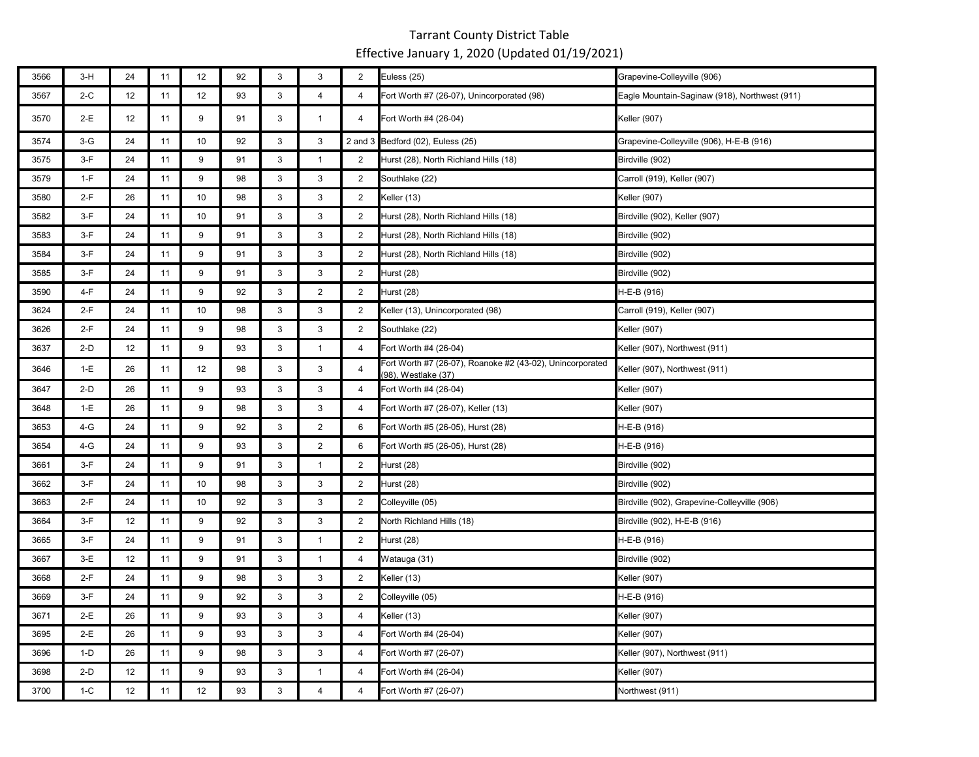| 3566 | $3-H$ | 24 | 11 | 12 | 92 | 3                         | 3                         | 2              | Euless (25)                                                                      | Grapevine-Colleyville (906)                   |
|------|-------|----|----|----|----|---------------------------|---------------------------|----------------|----------------------------------------------------------------------------------|-----------------------------------------------|
| 3567 | $2-C$ | 12 | 11 | 12 | 93 | 3                         | $\overline{4}$            | $\overline{4}$ | Fort Worth #7 (26-07), Unincorporated (98)                                       | Eagle Mountain-Saginaw (918), Northwest (911) |
| 3570 | 2-E   | 12 | 11 | 9  | 91 | 3                         | $\mathbf{1}$              | 4              | Fort Worth #4 (26-04)                                                            | <b>Keller</b> (907)                           |
| 3574 | $3-G$ | 24 | 11 | 10 | 92 | 3                         | 3                         |                | 2 and 3 Bedford (02), Euless (25)                                                | Grapevine-Colleyville (906), H-E-B (916)      |
| 3575 | $3-F$ | 24 | 11 | 9  | 91 | $\mathbf{3}$              | $\mathbf{1}$              | $\overline{2}$ | Hurst (28), North Richland Hills (18)                                            | Birdville (902)                               |
| 3579 | $1-F$ | 24 | 11 | 9  | 98 | 3                         | 3                         | $\overline{2}$ | Southlake (22)                                                                   | Carroll (919), Keller (907)                   |
| 3580 | $2-F$ | 26 | 11 | 10 | 98 | 3                         | 3                         | $\overline{2}$ | Keller (13)                                                                      | Keller (907)                                  |
| 3582 | $3-F$ | 24 | 11 | 10 | 91 | $\mathbf{3}$              | 3                         | $\overline{2}$ | Hurst (28), North Richland Hills (18)                                            | Birdville (902), Keller (907)                 |
| 3583 | $3-F$ | 24 | 11 | 9  | 91 | $\mathbf{3}$              | 3                         | $\overline{2}$ | Hurst (28), North Richland Hills (18)                                            | Birdville (902)                               |
| 3584 | $3-F$ | 24 | 11 | 9  | 91 | 3                         | 3                         | 2              | Hurst (28), North Richland Hills (18)                                            | Birdville (902)                               |
| 3585 | $3-F$ | 24 | 11 | 9  | 91 | $\ensuremath{\mathsf{3}}$ | $\ensuremath{\mathsf{3}}$ | 2              | Hurst (28)                                                                       | Birdville (902)                               |
| 3590 | $4-F$ | 24 | 11 | 9  | 92 | 3                         | $\overline{2}$            | $\overline{2}$ | Hurst (28)                                                                       | H-E-B (916)                                   |
| 3624 | $2-F$ | 24 | 11 | 10 | 98 | 3                         | 3                         | $\overline{2}$ | Keller (13), Unincorporated (98)                                                 | Carroll (919), Keller (907)                   |
| 3626 | $2-F$ | 24 | 11 | 9  | 98 | 3                         | 3                         | $\overline{2}$ | Southlake (22)                                                                   | Keller (907)                                  |
| 3637 | $2-D$ | 12 | 11 | 9  | 93 | 3                         | $\mathbf{1}$              | 4              | Fort Worth #4 (26-04)                                                            | Keller (907), Northwest (911)                 |
| 3646 | $1-E$ | 26 | 11 | 12 | 98 | 3                         | 3                         | $\overline{4}$ | Fort Worth #7 (26-07), Roanoke #2 (43-02), Unincorporated<br>(98), Westlake (37) | Keller (907), Northwest (911)                 |
| 3647 | $2-D$ | 26 | 11 | 9  | 93 | 3                         | 3                         | 4              | Fort Worth #4 (26-04)                                                            | Keller (907)                                  |
| 3648 | $1-E$ | 26 | 11 | 9  | 98 | $\mathbf{3}$              | 3                         | $\overline{4}$ | Fort Worth #7 (26-07), Keller (13)                                               | Keller (907)                                  |
| 3653 | 4-G   | 24 | 11 | 9  | 92 | 3                         | $\overline{2}$            | 6              | Fort Worth #5 (26-05), Hurst (28)                                                | H-E-B (916)                                   |
| 3654 | 4-G   | 24 | 11 | 9  | 93 | 3                         | $\overline{2}$            | 6              | Fort Worth #5 (26-05), Hurst (28)                                                | H-E-B (916)                                   |
| 3661 | $3-F$ | 24 | 11 | 9  | 91 | 3                         | $\mathbf{1}$              | $\overline{2}$ | Hurst (28)                                                                       | Birdville (902)                               |
| 3662 | $3-F$ | 24 | 11 | 10 | 98 | $\mathbf{3}$              | 3                         | $\overline{2}$ | Hurst (28)                                                                       | Birdville (902)                               |
| 3663 | $2-F$ | 24 | 11 | 10 | 92 | $\mathbf{3}$              | 3                         | 2              | Colleyville (05)                                                                 | Birdville (902), Grapevine-Colleyville (906)  |
| 3664 | $3-F$ | 12 | 11 | 9  | 92 | $\mathbf{3}$              | 3                         | $\overline{2}$ | North Richland Hills (18)                                                        | Birdville (902), H-E-B (916)                  |
| 3665 | $3-F$ | 24 | 11 | 9  | 91 | $\mathbf{3}$              | $\mathbf{1}$              | $\overline{2}$ | Hurst (28)                                                                       | H-E-B (916)                                   |
| 3667 | $3-E$ | 12 | 11 | 9  | 91 | 3                         | $\mathbf{1}$              | 4              | Watauga (31)                                                                     | Birdville (902)                               |
| 3668 | $2-F$ | 24 | 11 | 9  | 98 | 3                         | 3                         | 2              | Keller (13)                                                                      | Keller (907)                                  |
| 3669 | $3-F$ | 24 | 11 | 9  | 92 | 3                         | 3                         | $\overline{2}$ | Colleyville (05)                                                                 | H-E-B (916)                                   |
| 3671 | $2-E$ | 26 | 11 | 9  | 93 | $\mathbf{3}$              | 3                         | $\overline{4}$ | Keller (13)                                                                      | Keller (907)                                  |
| 3695 | $2-E$ | 26 | 11 | 9  | 93 | 3                         | 3                         | $\overline{4}$ | Fort Worth #4 (26-04)                                                            | Keller (907)                                  |
| 3696 | $1-D$ | 26 | 11 | 9  | 98 | 3                         | 3                         | $\overline{4}$ | Fort Worth #7 (26-07)                                                            | Keller (907), Northwest (911)                 |
| 3698 | $2-D$ | 12 | 11 | 9  | 93 | 3                         | $\mathbf{1}$              | 4              | Fort Worth #4 (26-04)                                                            | Keller (907)                                  |
| 3700 | $1-C$ | 12 | 11 | 12 | 93 | 3                         | $\overline{4}$            | $\overline{4}$ | Fort Worth #7 (26-07)                                                            | Northwest (911)                               |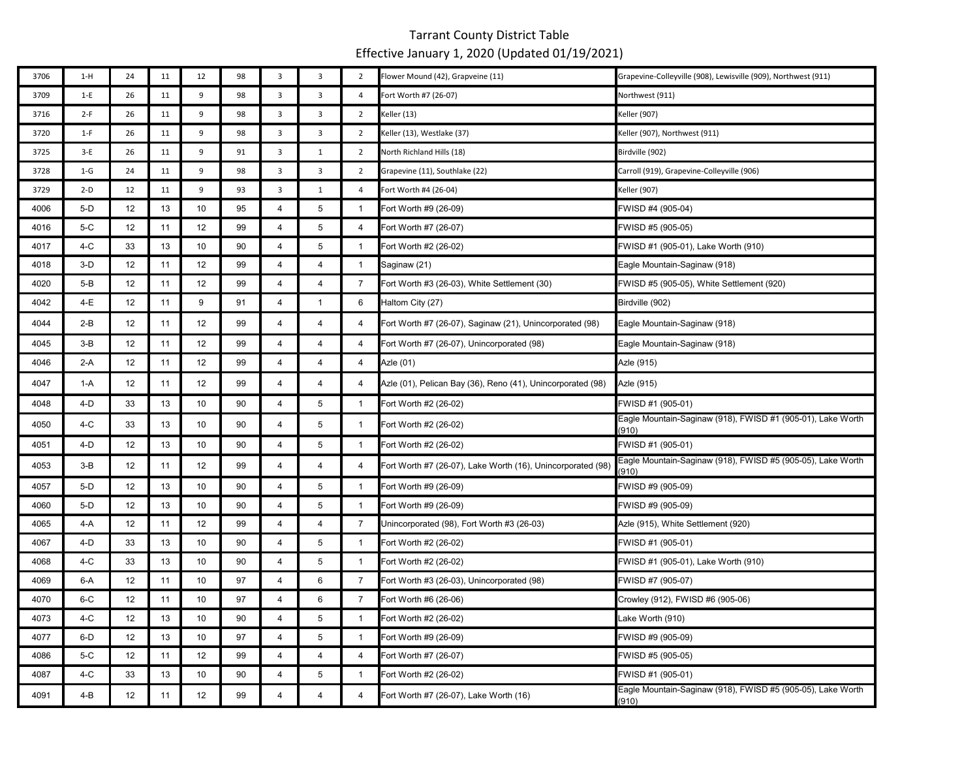| 3706 | $1-H$   | 24 | 11 | 12 | 98 | 3              | 3                       | $\overline{2}$ | Flower Mound (42), Grapveine (11)                           | Grapevine-Colleyville (908), Lewisville (909), Northwest (911)       |
|------|---------|----|----|----|----|----------------|-------------------------|----------------|-------------------------------------------------------------|----------------------------------------------------------------------|
| 3709 | $1-E$   | 26 | 11 | 9  | 98 | $\mathbf{3}$   | $\mathbf{3}$            | 4              | Fort Worth #7 (26-07)                                       | Northwest (911)                                                      |
| 3716 | $2-F$   | 26 | 11 | 9  | 98 | 3              | 3                       | $\overline{2}$ | Keller (13)                                                 | Keller (907)                                                         |
| 3720 | $1-F$   | 26 | 11 | 9  | 98 | 3              | 3                       | $\overline{2}$ | Keller (13), Westlake (37)                                  | Keller (907), Northwest (911)                                        |
| 3725 | $3-E$   | 26 | 11 | 9  | 91 | 3              | $\mathbf{1}$            | $\overline{2}$ | North Richland Hills (18)                                   | Birdville (902)                                                      |
| 3728 | $1-G$   | 24 | 11 | 9  | 98 | 3              | 3                       | $\overline{2}$ | Grapevine (11), Southlake (22)                              | Carroll (919), Grapevine-Colleyville (906)                           |
| 3729 | $2-D$   | 12 | 11 | 9  | 93 | 3              | $\mathbf{1}$            | 4              | Fort Worth #4 (26-04)                                       | Keller (907)                                                         |
| 4006 | $5-D$   | 12 | 13 | 10 | 95 | 4              | 5                       | $\mathbf{1}$   | Fort Worth #9 (26-09)                                       | FWISD #4 (905-04)                                                    |
| 4016 | $5-C$   | 12 | 11 | 12 | 99 | $\overline{4}$ | 5                       | $\overline{4}$ | Fort Worth #7 (26-07)                                       | FWISD #5 (905-05)                                                    |
| 4017 | 4-C     | 33 | 13 | 10 | 90 | $\overline{4}$ | 5                       | $\mathbf{1}$   | Fort Worth #2 (26-02)                                       | FWISD #1 (905-01), Lake Worth (910)                                  |
| 4018 | $3-D$   | 12 | 11 | 12 | 99 | $\overline{4}$ | $\overline{4}$          | $\overline{1}$ | Saginaw (21)                                                | Eagle Mountain-Saginaw (918)                                         |
| 4020 | $5-B$   | 12 | 11 | 12 | 99 | $\overline{4}$ | $\overline{4}$          | $\overline{7}$ | Fort Worth #3 (26-03), White Settlement (30)                | FWISD #5 (905-05), White Settlement (920)                            |
| 4042 | 4-E     | 12 | 11 | 9  | 91 | 4              | $\mathbf{1}$            | 6              | Haltom City (27)                                            | Birdville (902)                                                      |
| 4044 | 2-B     | 12 | 11 | 12 | 99 | 4              | 4                       | 4              | Fort Worth #7 (26-07), Saginaw (21), Unincorporated (98)    | Eagle Mountain-Saginaw (918)                                         |
| 4045 | $3-B$   | 12 | 11 | 12 | 99 | 4              | 4                       | 4              | Fort Worth #7 (26-07), Unincorporated (98)                  | Eagle Mountain-Saginaw (918)                                         |
| 4046 | $2-A$   | 12 | 11 | 12 | 99 | $\overline{4}$ | $\overline{4}$          | $\overline{4}$ | Azle (01)                                                   | Azle (915)                                                           |
| 4047 | $1-A$   | 12 | 11 | 12 | 99 | $\overline{4}$ | $\overline{\mathbf{4}}$ | 4              | Azle (01), Pelican Bay (36), Reno (41), Unincorporated (98) | Azle (915)                                                           |
| 4048 | $4-D$   | 33 | 13 | 10 | 90 | 4              | 5                       | $\mathbf{1}$   | Fort Worth #2 (26-02)                                       | FWISD #1 (905-01)                                                    |
| 4050 | 4-C     | 33 | 13 | 10 | 90 | 4              | 5                       | $\mathbf{1}$   | Fort Worth #2 (26-02)                                       | Eagle Mountain-Saginaw (918), FWISD #1 (905-01), Lake Worth<br>910)  |
| 4051 | 4-D     | 12 | 13 | 10 | 90 | 4              | 5                       | $\mathbf{1}$   | Fort Worth #2 (26-02)                                       | FWISD #1 (905-01)                                                    |
| 4053 | $3-B$   | 12 | 11 | 12 | 99 | $\overline{4}$ | 4                       | 4              | Fort Worth #7 (26-07), Lake Worth (16), Unincorporated (98) | Eagle Mountain-Saginaw (918), FWISD #5 (905-05), Lake Worth<br>(910) |
| 4057 | $5-D$   | 12 | 13 | 10 | 90 | 4              | 5                       | $\mathbf{1}$   | Fort Worth #9 (26-09)                                       | FWISD #9 (905-09)                                                    |
| 4060 | $5-D$   | 12 | 13 | 10 | 90 | $\overline{4}$ | 5                       | $\overline{1}$ | Fort Worth #9 (26-09)                                       | FWISD #9 (905-09)                                                    |
| 4065 | 4-A     | 12 | 11 | 12 | 99 | 4              | $\overline{4}$          | 7              | Unincorporated (98), Fort Worth #3 (26-03)                  | Azle (915), White Settlement (920)                                   |
| 4067 | 4-D     | 33 | 13 | 10 | 90 | $\overline{4}$ | 5                       | $\mathbf{1}$   | Fort Worth #2 (26-02)                                       | FWISD #1 (905-01)                                                    |
| 4068 | 4-C     | 33 | 13 | 10 | 90 | $\overline{4}$ | 5                       | $\mathbf{1}$   | Fort Worth #2 (26-02)                                       | FWISD #1 (905-01), Lake Worth (910)                                  |
| 4069 | 6-A     | 12 | 11 | 10 | 97 | 4              | 6                       | 7              | Fort Worth #3 (26-03), Unincorporated (98)                  | FWISD #7 (905-07)                                                    |
| 4070 | 6-C     | 12 | 11 | 10 | 97 | 4              | 6                       | $\overline{7}$ | Fort Worth #6 (26-06)                                       | Crowley (912), FWISD #6 (905-06)                                     |
| 4073 | 4-C     | 12 | 13 | 10 | 90 | 4              | 5                       | $\mathbf{1}$   | Fort Worth #2 (26-02)                                       | Lake Worth (910)                                                     |
| 4077 | 6-D     | 12 | 13 | 10 | 97 | 4              | 5                       | $\mathbf{1}$   | Fort Worth #9 (26-09)                                       | FWISD #9 (905-09)                                                    |
| 4086 | 5-C     | 12 | 11 | 12 | 99 | 4              | $\overline{4}$          | 4              | Fort Worth #7 (26-07)                                       | FWISD #5 (905-05)                                                    |
| 4087 | 4-C     | 33 | 13 | 10 | 90 | $\overline{4}$ | 5                       | $\mathbf{1}$   | Fort Worth #2 (26-02)                                       | FWISD #1 (905-01)                                                    |
| 4091 | $4 - B$ | 12 | 11 | 12 | 99 | $\overline{4}$ | $\overline{4}$          | 4              | Fort Worth #7 (26-07), Lake Worth (16)                      | Eagle Mountain-Saginaw (918), FWISD #5 (905-05), Lake Worth<br>(910) |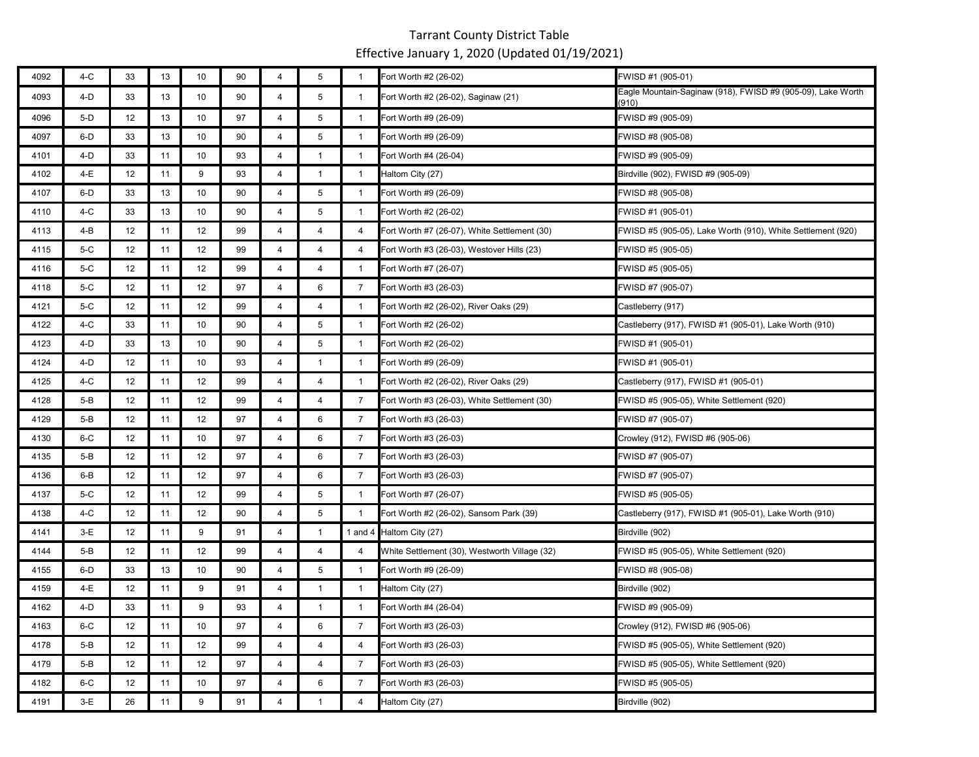| 4092 | 4-C     | 33 | 13 | 10 | 90 | 4              | 5              | $\mathbf{1}$   | Fort Worth #2 (26-02)                         | FWISD #1 (905-01)                                                    |
|------|---------|----|----|----|----|----------------|----------------|----------------|-----------------------------------------------|----------------------------------------------------------------------|
| 4093 | 4-D     | 33 | 13 | 10 | 90 | 4              | 5              | $\mathbf{1}$   | Fort Worth #2 (26-02), Saginaw (21)           | Eagle Mountain-Saginaw (918), FWISD #9 (905-09), Lake Worth<br>(910) |
| 4096 | 5-D     | 12 | 13 | 10 | 97 | 4              | 5              | $\mathbf{1}$   | Fort Worth #9 (26-09)                         | FWISD #9 (905-09)                                                    |
| 4097 | 6-D     | 33 | 13 | 10 | 90 | 4              | 5              | $\mathbf{1}$   | Fort Worth #9 (26-09)                         | FWISD #8 (905-08)                                                    |
| 4101 | 4-D     | 33 | 11 | 10 | 93 | 4              | $\mathbf{1}$   | -1             | Fort Worth #4 (26-04)                         | FWISD #9 (905-09)                                                    |
| 4102 | 4-E     | 12 | 11 | 9  | 93 | 4              | $\mathbf{1}$   | 1              | Haltom City (27)                              | Birdville (902), FWISD #9 (905-09)                                   |
| 4107 | 6-D     | 33 | 13 | 10 | 90 | 4              | 5              | -1             | Fort Worth #9 (26-09)                         | FWISD #8 (905-08)                                                    |
| 4110 | 4-C     | 33 | 13 | 10 | 90 | 4              | 5              | $\mathbf{1}$   | Fort Worth #2 (26-02)                         | FWISD #1 (905-01)                                                    |
| 4113 | 4-B     | 12 | 11 | 12 | 99 | 4              | 4              | 4              | Fort Worth #7 (26-07), White Settlement (30)  | FWISD #5 (905-05), Lake Worth (910), White Settlement (920)          |
| 4115 | 5-C     | 12 | 11 | 12 | 99 | 4              | 4              | 4              | Fort Worth #3 (26-03), Westover Hills (23)    | FWISD #5 (905-05)                                                    |
| 4116 | 5-C     | 12 | 11 | 12 | 99 | 4              | 4              | $\overline{1}$ | Fort Worth #7 (26-07)                         | FWISD #5 (905-05)                                                    |
| 4118 | 5-C     | 12 | 11 | 12 | 97 | 4              | 6              | $\overline{7}$ | Fort Worth #3 (26-03)                         | FWISD #7 (905-07)                                                    |
| 4121 | 5-C     | 12 | 11 | 12 | 99 | 4              | $\overline{4}$ | $\overline{1}$ | Fort Worth #2 (26-02), River Oaks (29)        | Castleberry (917)                                                    |
| 4122 | 4-C     | 33 | 11 | 10 | 90 | 4              | 5              | $\overline{1}$ | Fort Worth #2 (26-02)                         | Castleberry (917), FWISD #1 (905-01), Lake Worth (910)               |
| 4123 | 4-D     | 33 | 13 | 10 | 90 | 4              | 5              | $\overline{1}$ | Fort Worth #2 (26-02)                         | FWISD #1 (905-01)                                                    |
| 4124 | 4-D     | 12 | 11 | 10 | 93 | 4              | $\mathbf{1}$   | $\mathbf{1}$   | Fort Worth #9 (26-09)                         | FWISD #1 (905-01)                                                    |
| 4125 | 4-C     | 12 | 11 | 12 | 99 | 4              | $\overline{4}$ | $\mathbf{1}$   | Fort Worth #2 (26-02), River Oaks (29)        | Castleberry (917), FWISD #1 (905-01)                                 |
| 4128 | 5-B     | 12 | 11 | 12 | 99 | 4              | $\overline{4}$ | $\overline{7}$ | Fort Worth #3 (26-03), White Settlement (30)  | FWISD #5 (905-05), White Settlement (920)                            |
| 4129 | 5-B     | 12 | 11 | 12 | 97 | 4              | 6              | $\overline{7}$ | Fort Worth #3 (26-03)                         | FWISD #7 (905-07)                                                    |
| 4130 | 6-C     | 12 | 11 | 10 | 97 | 4              | 6              | $\overline{7}$ | Fort Worth #3 (26-03)                         | Crowley (912), FWISD #6 (905-06)                                     |
| 4135 | 5-B     | 12 | 11 | 12 | 97 | 4              | 6              | $\overline{7}$ | Fort Worth #3 (26-03)                         | FWISD #7 (905-07)                                                    |
| 4136 | 6-B     | 12 | 11 | 12 | 97 | 4              | 6              | $\overline{7}$ | Fort Worth #3 (26-03)                         | FWISD #7 (905-07)                                                    |
| 4137 | 5-C     | 12 | 11 | 12 | 99 | 4              | 5              | $\mathbf{1}$   | Fort Worth #7 (26-07)                         | FWISD #5 (905-05)                                                    |
| 4138 | 4-C     | 12 | 11 | 12 | 90 | 4              | 5              | $\mathbf{1}$   | Fort Worth #2 (26-02), Sansom Park (39)       | Castleberry (917), FWISD #1 (905-01), Lake Worth (910)               |
| 4141 | $3-E$   | 12 | 11 | 9  | 91 | $\overline{4}$ | $\mathbf{1}$   |                | 1 and 4 Haltom City (27)                      | Birdville (902)                                                      |
| 4144 | $5-B$   | 12 | 11 | 12 | 99 | 4              | $\overline{4}$ | 4              | White Settlement (30), Westworth Village (32) | FWISD #5 (905-05), White Settlement (920)                            |
| 4155 | 6-D     | 33 | 13 | 10 | 90 | 4              | 5              | $\mathbf{1}$   | Fort Worth #9 (26-09)                         | FWISD #8 (905-08)                                                    |
| 4159 | 4-E     | 12 | 11 | 9  | 91 | 4              | $\overline{1}$ | $\overline{1}$ | Haltom City (27)                              | Birdville (902)                                                      |
| 4162 | 4-D     | 33 | 11 | 9  | 93 | $\overline{4}$ | $\mathbf{1}$   |                | Fort Worth #4 (26-04)                         | FWISD #9 (905-09)                                                    |
| 4163 | $6-C$   | 12 | 11 | 10 | 97 | 4              | 6              | $\overline{7}$ | Fort Worth #3 (26-03)                         | Crowley (912), FWISD #6 (905-06)                                     |
| 4178 | $5-B$   | 12 | 11 | 12 | 99 | 4              | $\overline{4}$ | 4              | Fort Worth #3 (26-03)                         | FWISD #5 (905-05), White Settlement (920)                            |
| 4179 | $5 - B$ | 12 | 11 | 12 | 97 | $\overline{4}$ | $\overline{4}$ | $\overline{7}$ | Fort Worth #3 (26-03)                         | FWISD #5 (905-05), White Settlement (920)                            |
| 4182 | $6-C$   | 12 | 11 | 10 | 97 | $\overline{4}$ | 6              | $\overline{7}$ | Fort Worth #3 (26-03)                         | FWISD #5 (905-05)                                                    |
| 4191 | 3-E     | 26 | 11 | 9  | 91 | 4              | $\mathbf 1$    | 4              | Haltom City (27)                              | Birdville (902)                                                      |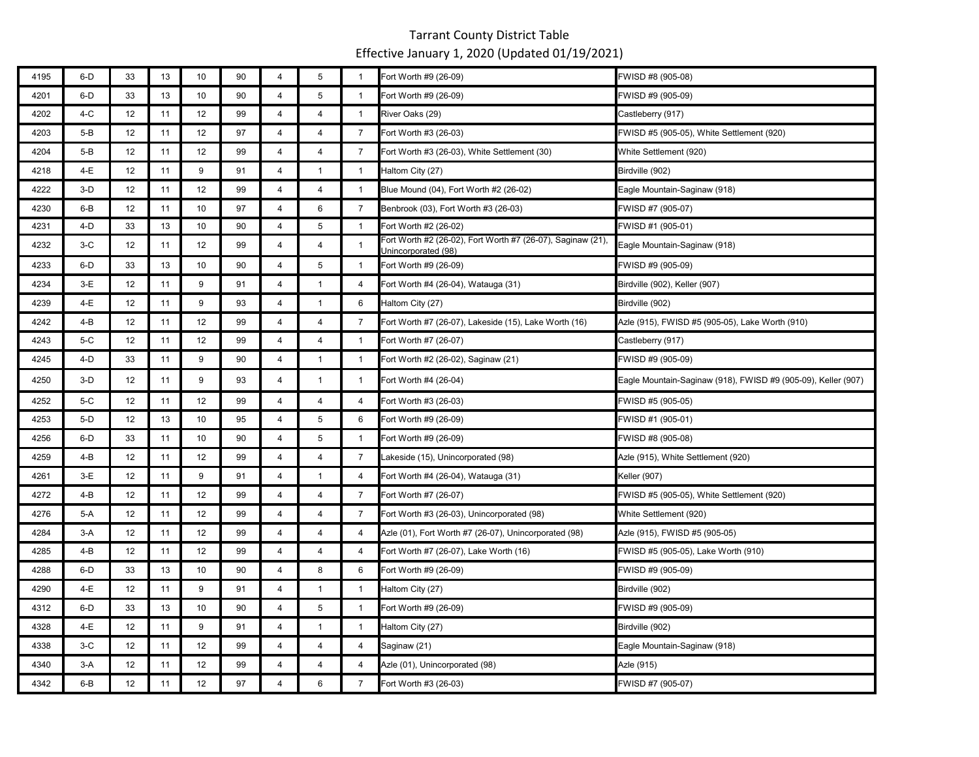| 4195 | $6-D$   | 33              | 13 | 10 | 90 | 4              | 5               | $\mathbf{1}$   | Fort Worth #9 (26-09)                                                              | FWISD #8 (905-08)                                             |
|------|---------|-----------------|----|----|----|----------------|-----------------|----------------|------------------------------------------------------------------------------------|---------------------------------------------------------------|
| 4201 | $6-D$   | 33              | 13 | 10 | 90 | 4              | $5\phantom{.0}$ | $\mathbf{1}$   | Fort Worth #9 (26-09)                                                              | FWISD #9 (905-09)                                             |
| 4202 | $4-C$   | 12              | 11 | 12 | 99 | 4              | 4               | $\mathbf{1}$   | River Oaks (29)                                                                    | Castleberry (917)                                             |
| 4203 | $5-B$   | 12              | 11 | 12 | 97 | $\overline{4}$ | $\overline{4}$  | $\overline{7}$ | Fort Worth #3 (26-03)                                                              | WISD #5 (905-05), White Settlement (920)                      |
| 4204 | $5 - B$ | 12              | 11 | 12 | 99 | 4              | $\overline{4}$  | $\overline{7}$ | Fort Worth #3 (26-03), White Settlement (30)                                       | White Settlement (920)                                        |
| 4218 | 4-E     | 12              | 11 | 9  | 91 | $\overline{4}$ | $\mathbf{1}$    | $\mathbf{1}$   | Haltom City (27)                                                                   | Birdville (902)                                               |
| 4222 | $3-D$   | 12              | 11 | 12 | 99 | 4              | $\overline{4}$  | $\mathbf{1}$   | Blue Mound (04), Fort Worth #2 (26-02)                                             | Eagle Mountain-Saginaw (918)                                  |
| 4230 | 6-B     | 12              | 11 | 10 | 97 | 4              | 6               | 7              | Benbrook (03), Fort Worth #3 (26-03)                                               | FWISD #7 (905-07)                                             |
| 4231 | 4-D     | 33              | 13 | 10 | 90 | $\overline{4}$ | 5               | $\mathbf{1}$   | Fort Worth #2 (26-02)                                                              | FWISD #1 (905-01)                                             |
| 4232 | $3-C$   | 12              | 11 | 12 | 99 | $\overline{4}$ | $\overline{4}$  | $\mathbf{1}$   | Fort Worth #2 (26-02), Fort Worth #7 (26-07), Saginaw (21),<br>Unincorporated (98) | Eagle Mountain-Saginaw (918)                                  |
| 4233 | 6-D     | 33              | 13 | 10 | 90 | 4              | 5               | $\mathbf{1}$   | Fort Worth #9 (26-09)                                                              | FWISD #9 (905-09)                                             |
| 4234 | $3-E$   | 12 <sub>2</sub> | 11 | 9  | 91 | 4              | $\mathbf{1}$    | 4              | Fort Worth #4 (26-04), Watauga (31)                                                | Birdville (902), Keller (907)                                 |
| 4239 | 4-E     | 12              | 11 | 9  | 93 | $\overline{4}$ | $\mathbf{1}$    | 6              | Haltom City (27)                                                                   | Birdville (902)                                               |
| 4242 | $4 - B$ | 12              | 11 | 12 | 99 | $\overline{4}$ | $\overline{4}$  | $\overline{7}$ | Fort Worth #7 (26-07), Lakeside (15), Lake Worth (16)                              | Azle (915), FWISD #5 (905-05), Lake Worth (910)               |
| 4243 | $5-C$   | 12              | 11 | 12 | 99 | $\overline{4}$ | $\overline{4}$  | $\mathbf{1}$   | Fort Worth #7 (26-07)                                                              | Castleberry (917)                                             |
| 4245 | 4-D     | 33              | 11 | 9  | 90 | 4              | $\mathbf{1}$    | $\overline{1}$ | Fort Worth #2 (26-02), Saginaw (21)                                                | WISD #9 (905-09)                                              |
| 4250 | $3-D$   | 12              | 11 | 9  | 93 | $\overline{4}$ | $\mathbf{1}$    | $\mathbf{1}$   | Fort Worth #4 (26-04)                                                              | Eagle Mountain-Saginaw (918), FWISD #9 (905-09), Keller (907) |
| 4252 | 5-C     | 12              | 11 | 12 | 99 | $\overline{4}$ | $\overline{4}$  | 4              | Fort Worth #3 (26-03)                                                              | FWISD #5 (905-05)                                             |
| 4253 | 5-D     | 12              | 13 | 10 | 95 | $\overline{4}$ | 5               | 6              | Fort Worth #9 (26-09)                                                              | FWISD #1 (905-01)                                             |
| 4256 | 6-D     | 33              | 11 | 10 | 90 | $\overline{4}$ | 5               | $\mathbf{1}$   | Fort Worth #9 (26-09)                                                              | FWISD #8 (905-08)                                             |
| 4259 | $4 - B$ | 12              | 11 | 12 | 99 | $\overline{4}$ | $\overline{4}$  | $\overline{7}$ | Lakeside (15), Unincorporated (98)                                                 | Azle (915), White Settlement (920)                            |
| 4261 | $3-E$   | 12              | 11 | 9  | 91 | 4              | $\mathbf{1}$    | $\overline{4}$ | Fort Worth #4 (26-04), Watauga (31)                                                | Keller (907)                                                  |
| 4272 | 4-B     | 12              | 11 | 12 | 99 | $\overline{4}$ | $\overline{4}$  | $\overline{7}$ | Fort Worth #7 (26-07)                                                              | WISD #5 (905-05), White Settlement (920)                      |
| 4276 | 5-A     | 12              | 11 | 12 | 99 | $\overline{4}$ | $\overline{4}$  | $\overline{7}$ | Fort Worth #3 (26-03), Unincorporated (98)                                         | White Settlement (920)                                        |
| 4284 | $3-A$   | 12              | 11 | 12 | 99 | $\overline{4}$ | $\overline{4}$  | 4              | Azle (01), Fort Worth #7 (26-07), Unincorporated (98)                              | Azle (915), FWISD #5 (905-05)                                 |
| 4285 | $4 - B$ | 12              | 11 | 12 | 99 | 4              | 4               | 4              | Fort Worth #7 (26-07), Lake Worth (16)                                             | FWISD #5 (905-05), Lake Worth (910)                           |
| 4288 | $6-D$   | 33              | 13 | 10 | 90 | $\overline{4}$ | 8               | 6              | Fort Worth #9 (26-09)                                                              | WISD #9 (905-09)                                              |
| 4290 | 4-E     | 12              | 11 | 9  | 91 | $\overline{4}$ | $\mathbf{1}$    | $\mathbf{1}$   | Haltom City (27)                                                                   | Birdville (902)                                               |
| 4312 | 6-D     | 33              | 13 | 10 | 90 | $\overline{4}$ | $5\phantom{.0}$ | $\mathbf{1}$   | Fort Worth #9 (26-09)                                                              | FWISD #9 (905-09)                                             |
| 4328 | $4-E$   | 12              | 11 | 9  | 91 | $\overline{4}$ | $\mathbf{1}$    | $\mathbf{1}$   | Haltom City (27)                                                                   | Birdville (902)                                               |
| 4338 | $3-C$   | 12              | 11 | 12 | 99 | $\overline{4}$ | $\overline{4}$  | 4              | Saginaw (21)                                                                       | Eagle Mountain-Saginaw (918)                                  |
| 4340 | $3-A$   | 12              | 11 | 12 | 99 | $\overline{4}$ | $\overline{4}$  | 4              | Azle (01), Unincorporated (98)                                                     | Azle (915)                                                    |
| 4342 | $6 - B$ | 12              | 11 | 12 | 97 | $\overline{4}$ | 6               | $\overline{7}$ | Fort Worth #3 (26-03)                                                              | FWISD #7 (905-07)                                             |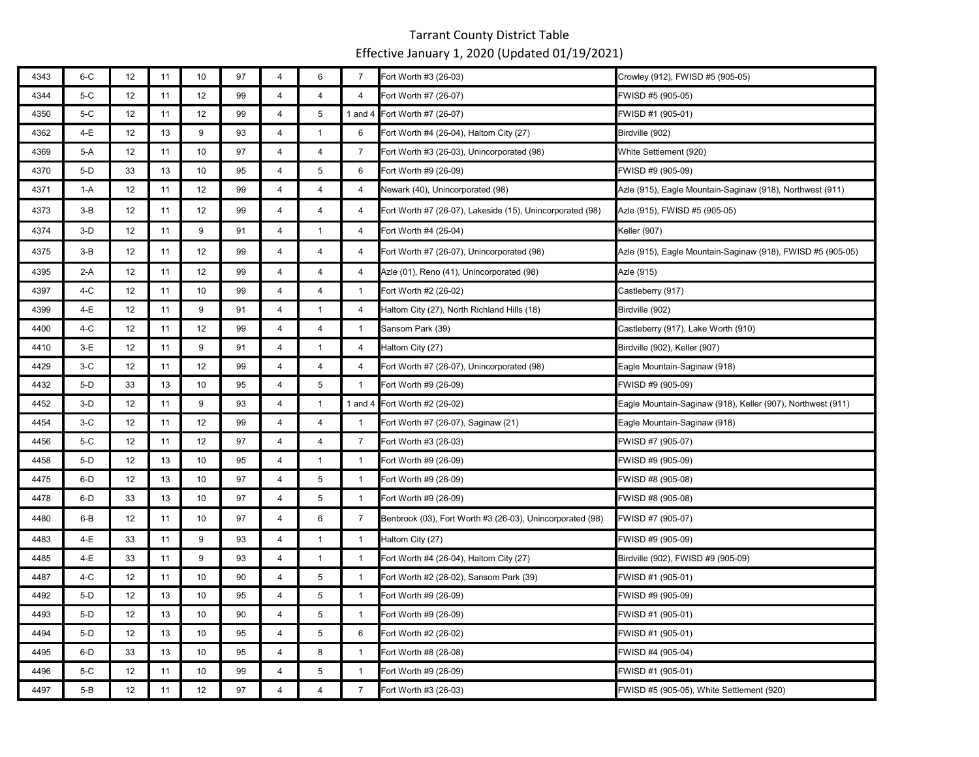| 4343 | $6-C$ | 12 | 11 | 10 | 97 | 4              | 6               | $\overline{7}$ | Fort Worth #3 (26-03)                                     | Crowley (912), FWISD #5 (905-05)                            |
|------|-------|----|----|----|----|----------------|-----------------|----------------|-----------------------------------------------------------|-------------------------------------------------------------|
| 4344 | $5-C$ | 12 | 11 | 12 | 99 | $\overline{4}$ | $\overline{4}$  | $\overline{4}$ | Fort Worth #7 (26-07)                                     | FWISD #5 (905-05)                                           |
| 4350 | 5-C   | 12 | 11 | 12 | 99 | $\overline{4}$ | $5\phantom{.0}$ | 1 and $4$      | Fort Worth #7 (26-07)                                     | FWISD #1 (905-01)                                           |
| 4362 | 4-E   | 12 | 13 | 9  | 93 | $\overline{4}$ | $\mathbf{1}$    | 6              | Fort Worth #4 (26-04), Haltom City (27)                   | Birdville (902)                                             |
| 4369 | 5-A   | 12 | 11 | 10 | 97 | 4              | $\overline{4}$  | 7              | Fort Worth #3 (26-03), Unincorporated (98)                | White Settlement (920)                                      |
| 4370 | 5-D   | 33 | 13 | 10 | 95 | 4              | 5               | 6              | Fort Worth #9 (26-09)                                     | FWISD #9 (905-09)                                           |
| 4371 | 1-A   | 12 | 11 | 12 | 99 | $\overline{4}$ | $\overline{4}$  | 4              | Newark (40), Unincorporated (98)                          | Azle (915), Eagle Mountain-Saginaw (918), Northwest (911)   |
| 4373 | $3-B$ | 12 | 11 | 12 | 99 | $\overline{4}$ | $\overline{a}$  | $\overline{4}$ | Fort Worth #7 (26-07), Lakeside (15), Unincorporated (98) | Azle (915), FWISD #5 (905-05)                               |
| 4374 | $3-D$ | 12 | 11 | 9  | 91 | $\overline{4}$ | $\mathbf{1}$    | $\overline{4}$ | Fort Worth #4 (26-04)                                     | Keller (907)                                                |
| 4375 | $3-B$ | 12 | 11 | 12 | 99 | 4              | $\overline{4}$  | 4              | Fort Worth #7 (26-07), Unincorporated (98)                | Azle (915), Eagle Mountain-Saginaw (918), FWISD #5 (905-05) |
| 4395 | 2-A   | 12 | 11 | 12 | 99 | $\overline{4}$ | $\overline{4}$  | 4              | Azle (01), Reno (41), Unincorporated (98)                 | Azle (915)                                                  |
| 4397 | 4-C   | 12 | 11 | 10 | 99 | $\overline{4}$ | $\overline{4}$  | $\mathbf{1}$   | Fort Worth #2 (26-02)                                     | Castleberry (917)                                           |
| 4399 | 4-E   | 12 | 11 | 9  | 91 | $\overline{4}$ | $\mathbf{1}$    | 4              | Haltom City (27), North Richland Hills (18)               | Birdville (902)                                             |
| 4400 | 4-C   | 12 | 11 | 12 | 99 | $\overline{4}$ | 4               | $\mathbf{1}$   | Sansom Park (39)                                          | Castleberry (917), Lake Worth (910)                         |
| 4410 | $3-E$ | 12 | 11 | 9  | 91 | $\overline{4}$ | $\mathbf{1}$    | 4              | Haltom City (27)                                          | Birdville (902), Keller (907)                               |
| 4429 | $3-C$ | 12 | 11 | 12 | 99 | $\overline{4}$ | $\overline{4}$  | $\overline{4}$ | Fort Worth #7 (26-07), Unincorporated (98)                | Eagle Mountain-Saginaw (918)                                |
| 4432 | 5-D   | 33 | 13 | 10 | 95 | $\overline{4}$ | $5\phantom{.0}$ | $\mathbf{1}$   | Fort Worth #9 (26-09)                                     | FWISD #9 (905-09)                                           |
| 4452 | $3-D$ | 12 | 11 | 9  | 93 | $\overline{4}$ | $\overline{1}$  |                | 1 and 4 Fort Worth #2 (26-02)                             | Eagle Mountain-Saginaw (918), Keller (907), Northwest (911) |
| 4454 | $3-C$ | 12 | 11 | 12 | 99 | $\overline{4}$ | $\overline{4}$  | $\overline{1}$ | Fort Worth #7 (26-07), Saginaw (21)                       | Eagle Mountain-Saginaw (918)                                |
| 4456 | $5-C$ | 12 | 11 | 12 | 97 | $\overline{4}$ | $\overline{4}$  | $\overline{7}$ | Fort Worth #3 (26-03)                                     | FWISD #7 (905-07)                                           |
| 4458 | $5-D$ | 12 | 13 | 10 | 95 | $\overline{4}$ | $\mathbf{1}$    | $\mathbf{1}$   | Fort Worth #9 (26-09)                                     | FWISD #9 (905-09)                                           |
| 4475 | 6-D   | 12 | 13 | 10 | 97 | $\overline{4}$ | $\overline{5}$  | $\mathbf{1}$   | Fort Worth #9 (26-09)                                     | FWISD #8 (905-08)                                           |
| 4478 | 6-D   | 33 | 13 | 10 | 97 | 4              | 5               | $\mathbf{1}$   | Fort Worth #9 (26-09)                                     | FWISD #8 (905-08)                                           |
| 4480 | 6-B   | 12 | 11 | 10 | 97 | $\overline{4}$ | 6               | $\overline{7}$ | Benbrook (03), Fort Worth #3 (26-03), Unincorporated (98) | FWISD #7 (905-07)                                           |
| 4483 | 4-E   | 33 | 11 | 9  | 93 | $\overline{4}$ | $\mathbf{1}$    | $\mathbf{1}$   | Haltom City (27)                                          | FWISD #9 (905-09)                                           |
| 4485 | 4-E   | 33 | 11 | 9  | 93 | $\overline{4}$ | $\mathbf{1}$    | $\mathbf{1}$   | Fort Worth #4 (26-04), Haltom City (27)                   | Birdville (902), FWISD #9 (905-09)                          |
| 4487 | $4-C$ | 12 | 11 | 10 | 90 | $\overline{4}$ | $\overline{5}$  | $\mathbf{1}$   | Fort Worth #2 (26-02), Sansom Park (39)                   | FWISD #1 (905-01)                                           |
| 4492 | 5-D   | 12 | 13 | 10 | 95 | $\overline{4}$ | 5               | $\mathbf{1}$   | Fort Worth #9 (26-09)                                     | FWISD #9 (905-09)                                           |
| 4493 | $5-D$ | 12 | 13 | 10 | 90 | $\overline{4}$ | $5\phantom{.0}$ | $\mathbf{1}$   | Fort Worth #9 (26-09)                                     | FWISD #1 (905-01)                                           |
| 4494 | 5-D   | 12 | 13 | 10 | 95 | 4              | 5               | 6              | Fort Worth #2 (26-02)                                     | FWISD #1 (905-01)                                           |
| 4495 | 6-D   | 33 | 13 | 10 | 95 | 4              | 8               | $\overline{1}$ | Fort Worth #8 (26-08)                                     | FWISD #4 (905-04)                                           |
| 4496 | $5-C$ | 12 | 11 | 10 | 99 | $\overline{4}$ | 5               | $\mathbf{1}$   | Fort Worth #9 (26-09)                                     | FWISD #1 (905-01)                                           |
| 4497 | $5-B$ | 12 | 11 | 12 | 97 | $\overline{4}$ | $\overline{4}$  | $\overline{7}$ | Fort Worth #3 (26-03)                                     | FWISD #5 (905-05), White Settlement (920)                   |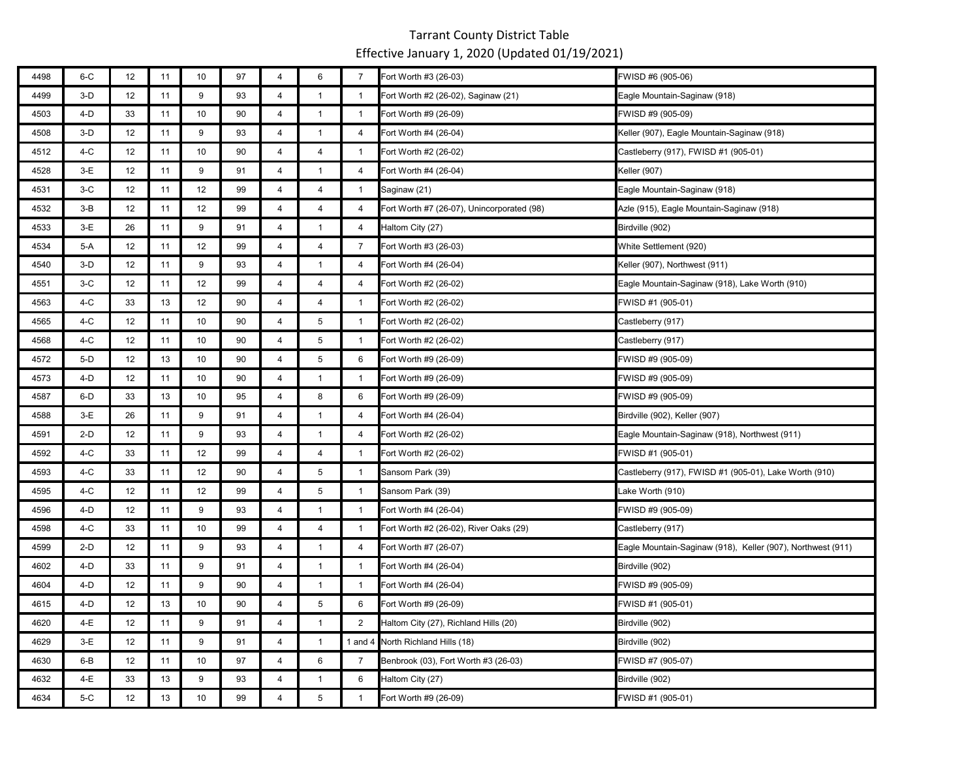| 4498 | 6-C   | 12 | 11 | 10 | 97 | 4              | 6              | $\overline{7}$ | Fort Worth #3 (26-03)                      | FWISD #6 (905-06)                                           |
|------|-------|----|----|----|----|----------------|----------------|----------------|--------------------------------------------|-------------------------------------------------------------|
| 4499 | $3-D$ | 12 | 11 | 9  | 93 | $\overline{4}$ | $\overline{1}$ | $\overline{1}$ | Fort Worth #2 (26-02), Saginaw (21)        | Eagle Mountain-Saginaw (918)                                |
| 4503 | 4-D   | 33 | 11 | 10 | 90 | $\overline{4}$ | $\mathbf{1}$   | $\mathbf{1}$   | Fort Worth #9 (26-09)                      | FWISD #9 (905-09)                                           |
| 4508 | $3-D$ | 12 | 11 | 9  | 93 | 4              | $\mathbf{1}$   | $\overline{4}$ | Fort Worth #4 (26-04)                      | Keller (907), Eagle Mountain-Saginaw (918)                  |
| 4512 | 4-C   | 12 | 11 | 10 | 90 | 4              | 4              | $\mathbf{1}$   | Fort Worth #2 (26-02)                      | Castleberry (917), FWISD #1 (905-01)                        |
| 4528 | $3-E$ | 12 | 11 | 9  | 91 | 4              | $\mathbf{1}$   | 4              | Fort Worth #4 (26-04)                      | Keller (907)                                                |
| 4531 | $3-C$ | 12 | 11 | 12 | 99 | $\overline{4}$ | $\overline{4}$ | $\mathbf{1}$   | Saginaw (21)                               | Eagle Mountain-Saginaw (918)                                |
| 4532 | $3-B$ | 12 | 11 | 12 | 99 | $\overline{4}$ | $\overline{4}$ | $\overline{4}$ | Fort Worth #7 (26-07), Unincorporated (98) | Azle (915), Eagle Mountain-Saginaw (918)                    |
| 4533 | $3-E$ | 26 | 11 | 9  | 91 | $\overline{4}$ | $\mathbf{1}$   | 4              | Haltom City (27)                           | Birdville (902)                                             |
| 4534 | 5-A   | 12 | 11 | 12 | 99 | 4              | $\overline{4}$ | 7              | Fort Worth #3 (26-03)                      | White Settlement (920)                                      |
| 4540 | $3-D$ | 12 | 11 | 9  | 93 | $\overline{4}$ | $\mathbf{1}$   | $\overline{4}$ | Fort Worth #4 (26-04)                      | Keller (907), Northwest (911)                               |
| 4551 | $3-C$ | 12 | 11 | 12 | 99 | $\overline{4}$ | $\overline{4}$ | 4              | Fort Worth #2 (26-02)                      | Eagle Mountain-Saginaw (918), Lake Worth (910)              |
| 4563 | 4-C   | 33 | 13 | 12 | 90 | $\overline{4}$ | $\overline{4}$ | $\overline{1}$ | Fort Worth #2 (26-02)                      | FWISD #1 (905-01)                                           |
| 4565 | $4-C$ | 12 | 11 | 10 | 90 | $\overline{4}$ | 5              | $\overline{1}$ | Fort Worth #2 (26-02)                      | Castleberry (917)                                           |
| 4568 | 4-C   | 12 | 11 | 10 | 90 | $\overline{4}$ | 5              | $\overline{1}$ | Fort Worth #2 (26-02)                      | Castleberry (917)                                           |
| 4572 | $5-D$ | 12 | 13 | 10 | 90 | 4              | 5              | 6              | Fort Worth #9 (26-09)                      | FWISD #9 (905-09)                                           |
| 4573 | $4-D$ | 12 | 11 | 10 | 90 | 4              | $\mathbf{1}$   | $\mathbf{1}$   | Fort Worth #9 (26-09)                      | FWISD #9 (905-09)                                           |
| 4587 | 6-D   | 33 | 13 | 10 | 95 | $\overline{4}$ | 8              | 6              | Fort Worth #9 (26-09)                      | FWISD #9 (905-09)                                           |
| 4588 | $3-E$ | 26 | 11 | 9  | 91 | $\overline{4}$ | $\mathbf{1}$   | 4              | Fort Worth #4 (26-04)                      | Birdville (902), Keller (907)                               |
| 4591 | $2-D$ | 12 | 11 | 9  | 93 | $\overline{4}$ | $\mathbf{1}$   | $\overline{4}$ | Fort Worth #2 (26-02)                      | Eagle Mountain-Saginaw (918), Northwest (911)               |
| 4592 | 4-C   | 33 | 11 | 12 | 99 | 4              | $\overline{4}$ | -1             | Fort Worth #2 (26-02)                      | FWISD #1 (905-01)                                           |
| 4593 | 4-C   | 33 | 11 | 12 | 90 | 4              | 5              | $\overline{1}$ | Sansom Park (39)                           | Castleberry (917), FWISD #1 (905-01), Lake Worth (910)      |
| 4595 | 4-C   | 12 | 11 | 12 | 99 | 4              | 5              | $\mathbf{1}$   | Sansom Park (39)                           | Lake Worth (910)                                            |
| 4596 | 4-D   | 12 | 11 | 9  | 93 | $\overline{4}$ | $\mathbf{1}$   | $\mathbf{1}$   | Fort Worth #4 (26-04)                      | FWISD #9 (905-09)                                           |
| 4598 | 4-C   | 33 | 11 | 10 | 99 | 4              | 4              | -1             | Fort Worth #2 (26-02), River Oaks (29)     | Castleberry (917)                                           |
| 4599 | $2-D$ | 12 | 11 | 9  | 93 | $\overline{4}$ | $\mathbf{1}$   | 4              | Fort Worth #7 (26-07)                      | Eagle Mountain-Saginaw (918), Keller (907), Northwest (911) |
| 4602 | 4-D   | 33 | 11 | 9  | 91 | $\overline{4}$ | $\mathbf{1}$   | $\overline{1}$ | Fort Worth #4 (26-04)                      | Birdville (902)                                             |
| 4604 | 4-D   | 12 | 11 | 9  | 90 | 4              | $\mathbf{1}$   | $\mathbf{1}$   | Fort Worth #4 (26-04)                      | FWISD #9 (905-09)                                           |
| 4615 | $4-D$ | 12 | 13 | 10 | 90 | $\overline{4}$ | 5              | 6              | Fort Worth #9 (26-09)                      | FWISD #1 (905-01)                                           |
| 4620 | 4-E   | 12 | 11 | 9  | 91 | $\overline{4}$ | $\mathbf{1}$   | $\overline{2}$ | Haltom City (27), Richland Hills (20)      | Birdville (902)                                             |
| 4629 | $3-E$ | 12 | 11 | 9  | 91 | $\overline{4}$ | $\mathbf{1}$   | 1 and $4$      | North Richland Hills (18)                  | Birdville (902)                                             |
| 4630 | 6-B   | 12 | 11 | 10 | 97 | 4              | 6              | 7              | Benbrook (03), Fort Worth #3 (26-03)       | FWISD #7 (905-07)                                           |
| 4632 | 4-E   | 33 | 13 | 9  | 93 | 4              | $\mathbf{1}$   | 6              | Haltom City (27)                           | Birdville (902)                                             |
| 4634 | 5-C   | 12 | 13 | 10 | 99 | $\overline{4}$ | 5              | $\mathbf{1}$   | Fort Worth #9 (26-09)                      | FWISD #1 (905-01)                                           |